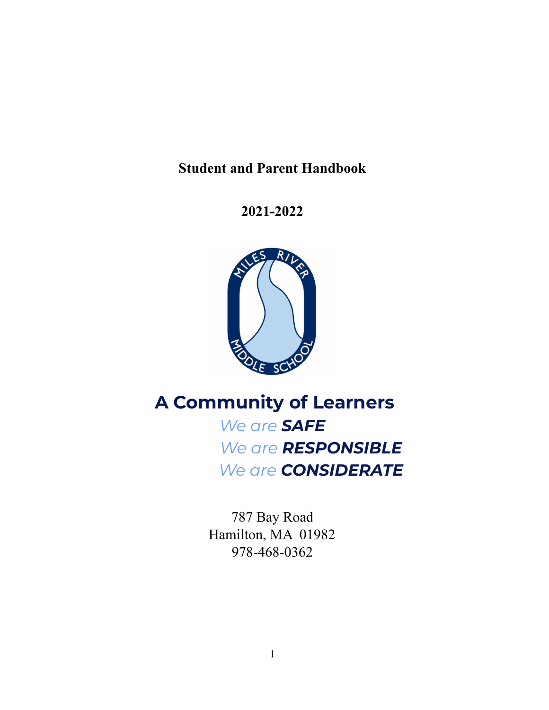# **Student and Parent Handbook**

# **2021-2022**



# **A Community of Learners**

*We are SAFE We are RESPONSIBLE We are CONSIDERATE*

787 Bay Road Hamilton, MA 01982 978-468-0362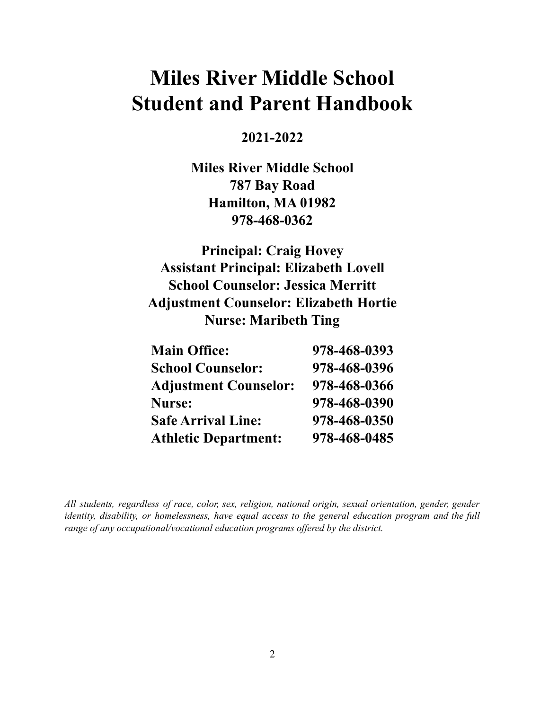# **Miles River Middle School Student and Parent Handbook**

# **2021-2022**

**Miles River Middle School 787 Bay Road Hamilton, MA 01982 978-468-0362**

**Principal: Craig Hovey Assistant Principal: Elizabeth Lovell School Counselor: Jessica Merritt Adjustment Counselor: Elizabeth Hortie Nurse: Maribeth Ting**

| <b>Main Office:</b>          | 978-468-0393 |
|------------------------------|--------------|
| <b>School Counselor:</b>     | 978-468-0396 |
| <b>Adjustment Counselor:</b> | 978-468-0366 |
| <b>Nurse:</b>                | 978-468-0390 |
| <b>Safe Arrival Line:</b>    | 978-468-0350 |
| <b>Athletic Department:</b>  | 978-468-0485 |

*All students, regardless of race, color, sex, religion, national origin, sexual orientation, gender, gender identity, disability, or homelessness, have equal access to the general education program and the full range of any occupational/vocational education programs of ered by the district.*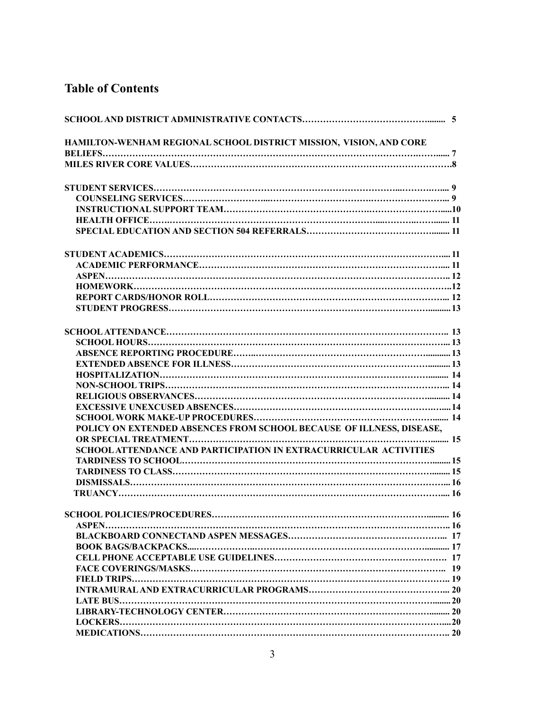# **Table of Contents**

| HAMILTON-WENHAM REGIONAL SCHOOL DISTRICT MISSION, VISION, AND CORE       |    |
|--------------------------------------------------------------------------|----|
|                                                                          |    |
|                                                                          |    |
|                                                                          |    |
|                                                                          |    |
|                                                                          |    |
|                                                                          |    |
|                                                                          |    |
|                                                                          |    |
|                                                                          |    |
|                                                                          |    |
|                                                                          |    |
|                                                                          |    |
|                                                                          |    |
|                                                                          |    |
|                                                                          |    |
|                                                                          |    |
|                                                                          |    |
|                                                                          |    |
|                                                                          |    |
|                                                                          |    |
|                                                                          |    |
|                                                                          |    |
| POLICY ON EXTENDED ABSENCES FROM SCHOOL BECAUSE OF ILLNESS, DISEASE,     |    |
|                                                                          |    |
| <b>SCHOOL ATTENDANCE AND PARTICIPATION IN EXTRACURRICULAR ACTIVITIES</b> |    |
|                                                                          |    |
|                                                                          |    |
|                                                                          |    |
|                                                                          |    |
|                                                                          | 16 |
|                                                                          |    |
|                                                                          |    |
|                                                                          |    |
|                                                                          |    |
|                                                                          |    |
|                                                                          |    |
|                                                                          |    |
|                                                                          |    |
|                                                                          |    |
|                                                                          |    |
|                                                                          |    |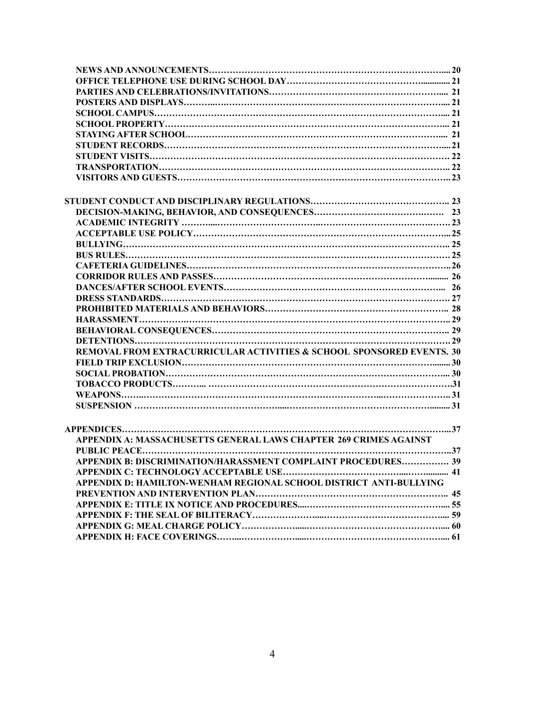| REMOVAL FROM EXTRACURRICULAR ACTIVITIES & SCHOOL SPONSORED EVENTS. 30 |  |
|-----------------------------------------------------------------------|--|
|                                                                       |  |
|                                                                       |  |
|                                                                       |  |
|                                                                       |  |
|                                                                       |  |
|                                                                       |  |
|                                                                       |  |
| APPENDIX A: MASSACHUSETTS GENERAL LAWS CHAPTER 269 CRIMES AGAINST     |  |
|                                                                       |  |
| APPENDIX B: DISCRIMINATION/HARASSMENT COMPLAINT PROCEDURES 39         |  |
|                                                                       |  |
| APPENDIX D: HAMILTON-WENHAM REGIONAL SCHOOL DISTRICT ANTI-BULLYING    |  |
|                                                                       |  |
|                                                                       |  |
|                                                                       |  |
|                                                                       |  |
|                                                                       |  |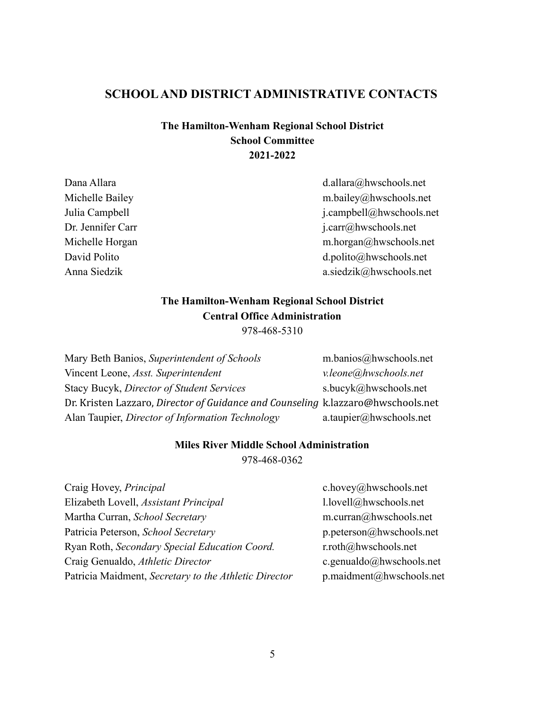### **SCHOOLAND DISTRICT ADMINISTRATIVE CONTACTS**

### **The Hamilton-Wenham Regional School District School Committee 2021-2022**

Dana Allara d.allara d.allara d.allara d.allara d.allara d.allara d.allara d.allara d.allara d.allara d.h.wschools.net Michelle Bailey m.bailey@hwschools.net Julia Campbell j.campbell@hwschools.net Dr. Jennifer Carr j.carr@hwschools.net Michelle Horgan m.horgan@hwschools.net David Polito della contraction della contraction della contraction della contraction della contraction della contraction della contraction della contraction della contraction della contraction della contraction della contr Anna Siedzik a.siedzik $\omega$ hwschools.net

# **The Hamilton-Wenham Regional School District Central Office Administration**

978-468-5310

Mary Beth Banios, *Superintendent of Schools* m.banios@hwschools.net Vincent Leone, *Asst. Superintendent v.leone@hwschools.net* Stacy Bucyk, *Director of Student Services* s.bucyk@hwschools.net Dr. Kristen Lazzaro, *Director of Guidance and Counseling* k.lazzaro@hwschools.net Alan Taupier, *Director of Information Technology* a.taupier@hwschools.net

# **Miles River Middle School Administration**

978-468-0362

| c.hovey@hwschools.net         |
|-------------------------------|
| l.lovell@hwschools.net        |
| m.curran@hwschools.net        |
| p.peterson@hwschools.net      |
| $r. roth$ ( $@$ hwschools.net |
| c.genualdo@hwschools.net      |
| p.maidment@hwschools.net      |
|                               |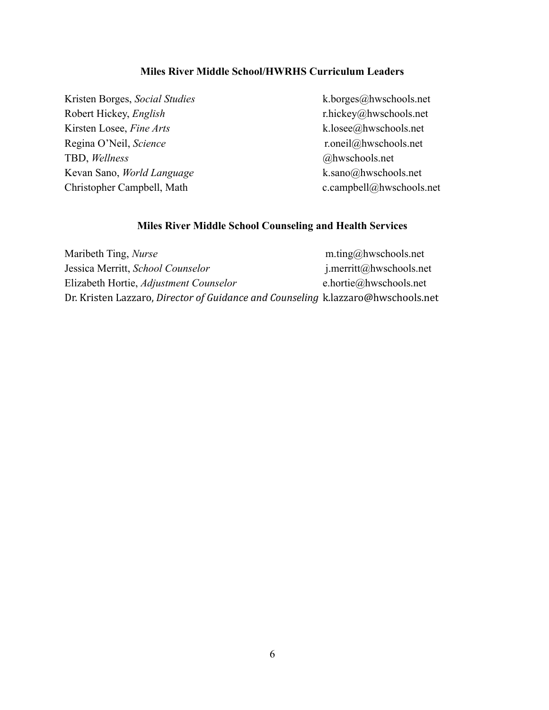#### **Miles River Middle School/HWRHS Curriculum Leaders**

Kristen Borges, *Social Studies* k.borges@hwschools.net Robert Hickey, *English* r.hickey@hwschools.net Kirsten Losee, *Fine Arts* k.losee@hwschools.net Regina O'Neil, *Science* r.oneil@hwschools.net TBD, *Wellness* @hwschools.net Kevan Sano, *World Language* k.sano@hwschools.net Christopher Campbell, Math c.campbell@hwschools.net

#### **Miles River Middle School Counseling and Health Services**

| Maribeth Ting, <i>Nurse</i>                                                      | m.ting@hwschools.net       |
|----------------------------------------------------------------------------------|----------------------------|
| Jessica Merritt, School Counselor                                                | $j$ .merritt@hwschools.net |
| Elizabeth Hortie, Adjustment Counselor                                           | e.hortie@hwschools.net     |
| Dr. Kristen Lazzaro, Director of Guidance and Counseling k.lazzaro@hwschools.net |                            |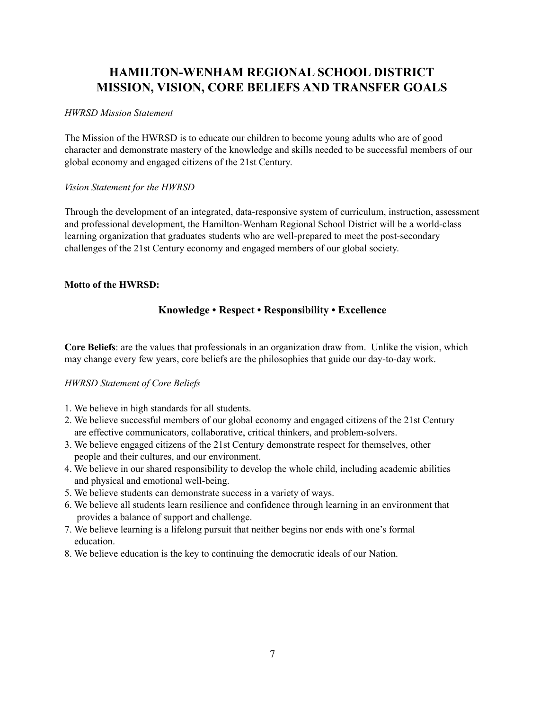# **HAMILTON-WENHAM REGIONAL SCHOOL DISTRICT MISSION, VISION, CORE BELIEFS AND TRANSFER GOALS**

#### *HWRSD Mission Statement*

The Mission of the HWRSD is to educate our children to become young adults who are of good character and demonstrate mastery of the knowledge and skills needed to be successful members of our global economy and engaged citizens of the 21st Century.

#### *Vision Statement for the HWRSD*

Through the development of an integrated, data-responsive system of curriculum, instruction, assessment and professional development, the Hamilton-Wenham Regional School District will be a world-class learning organization that graduates students who are well-prepared to meet the post-secondary challenges of the 21st Century economy and engaged members of our global society.

#### **Motto of the HWRSD:**

### **Knowledge • Respect • Responsibility • Excellence**

**Core Beliefs**: are the values that professionals in an organization draw from. Unlike the vision, which may change every few years, core beliefs are the philosophies that guide our day-to-day work.

#### *HWRSD Statement of Core Beliefs*

- 1. We believe in high standards for all students.
- 2. We believe successful members of our global economy and engaged citizens of the 21st Century are effective communicators, collaborative, critical thinkers, and problem-solvers.
- 3. We believe engaged citizens of the 21st Century demonstrate respect for themselves, other people and their cultures, and our environment.
- 4. We believe in our shared responsibility to develop the whole child, including academic abilities and physical and emotional well-being.
- 5. We believe students can demonstrate success in a variety of ways.
- 6. We believe all students learn resilience and confidence through learning in an environment that provides a balance of support and challenge.
- 7. We believe learning is a lifelong pursuit that neither begins nor ends with one's formal education.
- 8. We believe education is the key to continuing the democratic ideals of our Nation.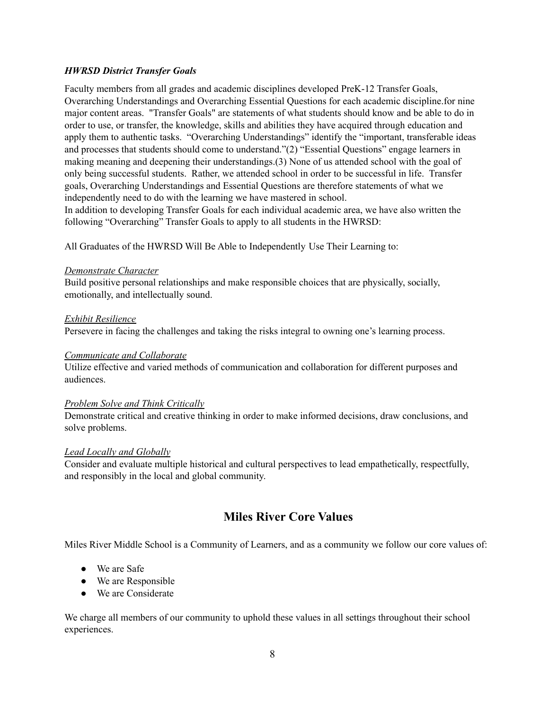#### *HWRSD District Transfer Goals*

Faculty members from all grades and academic disciplines developed PreK-12 Transfer Goals, Overarching Understandings and Overarching Essential Questions for each academic discipline.for nine major content areas. "Transfer Goals" are statements of what students should know and be able to do in order to use, or transfer, the knowledge, skills and abilities they have acquired through education and apply them to authentic tasks. "Overarching Understandings" identify the "important, transferable ideas and processes that students should come to understand."(2) "Essential Questions" engage learners in making meaning and deepening their understandings.(3) None of us attended school with the goal of only being successful students. Rather, we attended school in order to be successful in life. Transfer goals, Overarching Understandings and Essential Questions are therefore statements of what we independently need to do with the learning we have mastered in school.

In addition to developing Transfer Goals for each individual academic area, we have also written the following "Overarching" Transfer Goals to apply to all students in the HWRSD:

All Graduates of the HWRSD Will Be Able to Independently Use Their Learning to:

#### *Demonstrate Character*

Build positive personal relationships and make responsible choices that are physically, socially, emotionally, and intellectually sound.

#### *Exhibit Resilience*

Persevere in facing the challenges and taking the risks integral to owning one's learning process.

#### *Communicate and Collaborate*

Utilize effective and varied methods of communication and collaboration for different purposes and audiences.

#### *Problem Solve and Think Critically*

Demonstrate critical and creative thinking in order to make informed decisions, draw conclusions, and solve problems.

#### *Lead Locally and Globally*

Consider and evaluate multiple historical and cultural perspectives to lead empathetically, respectfully, and responsibly in the local and global community.

# **Miles River Core Values**

Miles River Middle School is a Community of Learners, and as a community we follow our core values of:

- We are Safe
- We are Responsible
- We are Considerate

We charge all members of our community to uphold these values in all settings throughout their school experiences.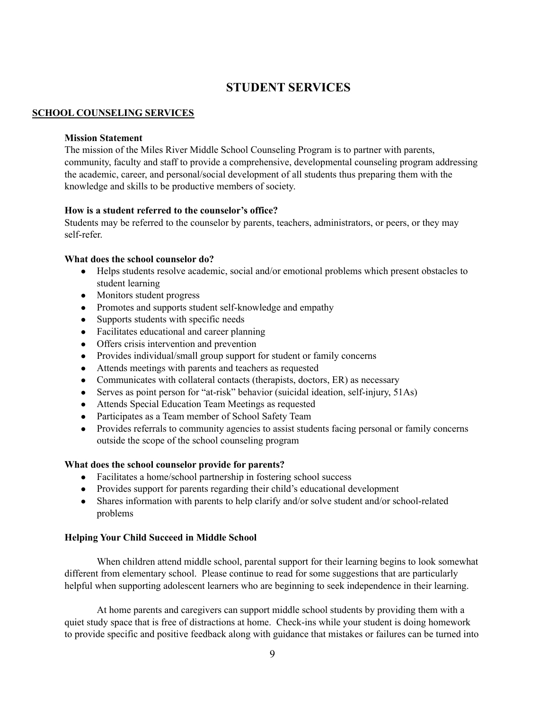# **STUDENT SERVICES**

#### **SCHOOL COUNSELING SERVICES**

#### **Mission Statement**

The mission of the Miles River Middle School Counseling Program is to partner with parents, community, faculty and staff to provide a comprehensive, developmental counseling program addressing the academic, career, and personal/social development of all students thus preparing them with the knowledge and skills to be productive members of society.

#### **How is a student referred to the counselor's office?**

Students may be referred to the counselor by parents, teachers, administrators, or peers, or they may self-refer.

#### **What does the school counselor do?**

- Helps students resolve academic, social and/or emotional problems which present obstacles to student learning
- Monitors student progress
- Promotes and supports student self-knowledge and empathy
- Supports students with specific needs
- Facilitates educational and career planning
- Offers crisis intervention and prevention
- Provides individual/small group support for student or family concerns
- Attends meetings with parents and teachers as requested
- Communicates with collateral contacts (therapists, doctors, ER) as necessary
- Serves as point person for "at-risk" behavior (suicidal ideation, self-injury, 51As)
- Attends Special Education Team Meetings as requested
- Participates as a Team member of School Safety Team
- Provides referrals to community agencies to assist students facing personal or family concerns outside the scope of the school counseling program

#### **What does the school counselor provide for parents?**

- Facilitates a home/school partnership in fostering school success
- Provides support for parents regarding their child's educational development
- Shares information with parents to help clarify and/or solve student and/or school-related problems

#### **Helping Your Child Succeed in Middle School**

When children attend middle school, parental support for their learning begins to look somewhat different from elementary school. Please continue to read for some suggestions that are particularly helpful when supporting adolescent learners who are beginning to seek independence in their learning.

At home parents and caregivers can support middle school students by providing them with a quiet study space that is free of distractions at home. Check-ins while your student is doing homework to provide specific and positive feedback along with guidance that mistakes or failures can be turned into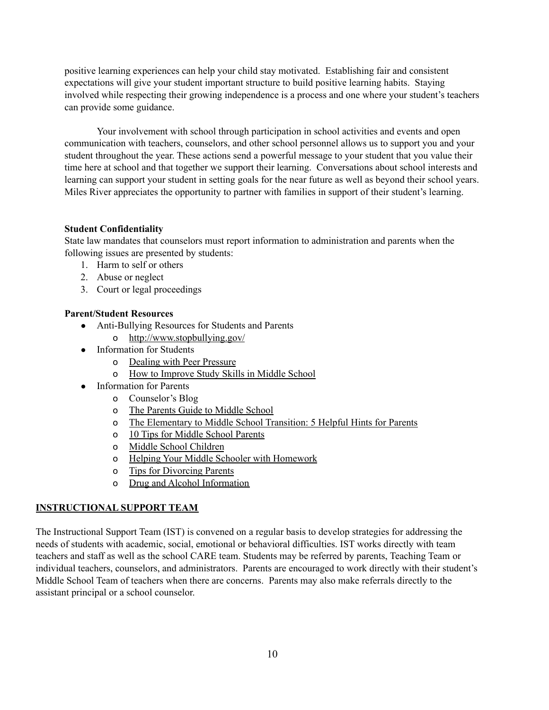positive learning experiences can help your child stay motivated. Establishing fair and consistent expectations will give your student important structure to build positive learning habits. Staying involved while respecting their growing independence is a process and one where your student's teachers can provide some guidance.

Your involvement with school through participation in school activities and events and open communication with teachers, counselors, and other school personnel allows us to support you and your student throughout the year. These actions send a powerful message to your student that you value their time here at school and that together we support their learning. Conversations about school interests and learning can support your student in setting goals for the near future as well as beyond their school years. Miles River appreciates the opportunity to partner with families in support of their student's learning.

#### **Student Confidentiality**

State law mandates that counselors must report information to administration and parents when the following issues are presented by students:

- 1. Harm to self or others
- 2. Abuse or neglect
- 3. Court or legal proceedings

#### **Parent/Student Resources**

- Anti-Bullying Resources for Students and Parents
	- o <http://www.stopbullying.gov/>
- Information for Students
	- o Dealing with Peer [Pressure](http://kidshealth.org/kid/feeling/friend/peer_pressure.html)
	- o How to [Improve](http://www.howtodothings.com/education/a2964-how-to-improve-study-skills-in-middle-school.html) Study Skills in Middle School
- **Information for Parents** 
	- o Counselor's Blog
	- o The [Parents](http://www.education.com/grade/middle-school/) Guide to Middle School
	- o The [Elementary](http://www.nmsa.org/Publications/WebExclusive/HelpfulHints/tabid/649/Default.aspx) to Middle School Transition: 5 Helpful Hints for Parents
	- o 10 Tips for Middle School [Parents](http://www.schoolfamily.com/school-family-articles/article/801-10-tips-for-middle-school-parents)
	- o Middle School [Children](http://parentingteens.about.com/od/middleschooljrhi/a/middleschool1.htm)
	- o Helping Your Middle Schooler with [Homework](http://school.familyeducation.com/homework/activity/34550.html)
	- o Tips for [Divorcing](http://kidshealth.org/parent/positive/talk/divorce.html) Parents
	- o Drug and Alcohol [Information](http://www.theantidrug.com/index.asp)

### **INSTRUCTIONAL SUPPORT TEAM**

The Instructional Support Team (IST) is convened on a regular basis to develop strategies for addressing the needs of students with academic, social, emotional or behavioral difficulties. IST works directly with team teachers and staff as well as the school CARE team. Students may be referred by parents, Teaching Team or individual teachers, counselors, and administrators. Parents are encouraged to work directly with their student's Middle School Team of teachers when there are concerns. Parents may also make referrals directly to the assistant principal or a school counselor.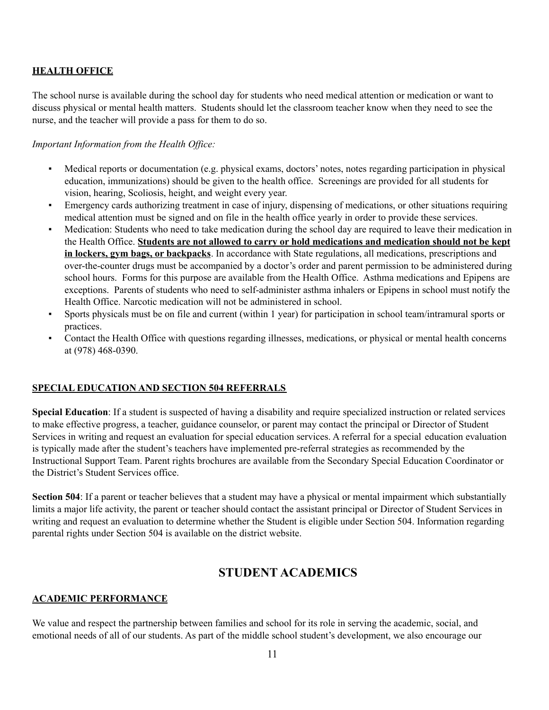#### **HEALTH OFFICE**

The school nurse is available during the school day for students who need medical attention or medication or want to discuss physical or mental health matters. Students should let the classroom teacher know when they need to see the nurse, and the teacher will provide a pass for them to do so.

#### *Important Information from the Health Of ice:*

- Medical reports or documentation (e.g. physical exams, doctors' notes, notes regarding participation in physical education, immunizations) should be given to the health office. Screenings are provided for all students for vision, hearing, Scoliosis, height, and weight every year.
- Emergency cards authorizing treatment in case of injury, dispensing of medications, or other situations requiring medical attention must be signed and on file in the health office yearly in order to provide these services.
- Medication: Students who need to take medication during the school day are required to leave their medication in the Health Office. **Students are not allowed to carry or hold medications and medication should not be kept in lockers, gym bags, or backpacks**. In accordance with State regulations, all medications, prescriptions and over-the-counter drugs must be accompanied by a doctor's order and parent permission to be administered during school hours. Forms for this purpose are available from the Health Office. Asthma medications and Epipens are exceptions. Parents of students who need to self-administer asthma inhalers or Epipens in school must notify the Health Office. Narcotic medication will not be administered in school.
- Sports physicals must be on file and current (within 1 year) for participation in school team/intramural sports or practices.
- Contact the Health Office with questions regarding illnesses, medications, or physical or mental health concerns at (978) 468-0390.

#### **SPECIAL EDUCATION AND SECTION 504 REFERRALS**

**Special Education**: If a student is suspected of having a disability and require specialized instruction or related services to make effective progress, a teacher, guidance counselor, or parent may contact the principal or Director of Student Services in writing and request an evaluation for special education services. A referral for a special education evaluation is typically made after the student's teachers have implemented pre-referral strategies as recommended by the Instructional Support Team. Parent rights brochures are available from the Secondary Special Education Coordinator or the District's Student Services office.

**Section 504**: If a parent or teacher believes that a student may have a physical or mental impairment which substantially limits a major life activity, the parent or teacher should contact the assistant principal or Director of Student Services in writing and request an evaluation to determine whether the Student is eligible under Section 504. Information regarding parental rights under Section 504 is available on the district website.

### **STUDENT ACADEMICS**

#### **ACADEMIC PERFORMANCE**

We value and respect the partnership between families and school for its role in serving the academic, social, and emotional needs of all of our students. As part of the middle school student's development, we also encourage our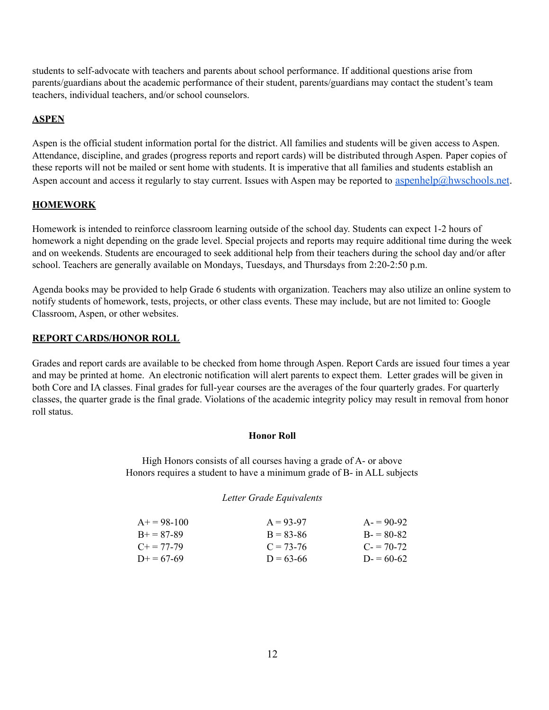students to self-advocate with teachers and parents about school performance. If additional questions arise from parents/guardians about the academic performance of their student, parents/guardians may contact the student's team teachers, individual teachers, and/or school counselors.

### **ASPEN**

Aspen is the official student information portal for the district. All families and students will be given access to Aspen. Attendance, discipline, and grades (progress reports and report cards) will be distributed through Aspen. Paper copies of these reports will not be mailed or sent home with students. It is imperative that all families and students establish an Aspen account and access it regularly to stay current. Issues with Aspen may be reported to [aspenhelp@hwschools.net](mailto:aspenhelp@hwschools.net).

### **HOMEWORK**

Homework is intended to reinforce classroom learning outside of the school day. Students can expect 1-2 hours of homework a night depending on the grade level. Special projects and reports may require additional time during the week and on weekends. Students are encouraged to seek additional help from their teachers during the school day and/or after school. Teachers are generally available on Mondays, Tuesdays, and Thursdays from 2:20-2:50 p.m.

Agenda books may be provided to help Grade 6 students with organization. Teachers may also utilize an online system to notify students of homework, tests, projects, or other class events. These may include, but are not limited to: Google Classroom, Aspen, or other websites.

#### **REPORT CARDS/HONOR ROLL**

Grades and report cards are available to be checked from home through Aspen. Report Cards are issued four times a year and may be printed at home. An electronic notification will alert parents to expect them. Letter grades will be given in both Core and IA classes. Final grades for full-year courses are the averages of the four quarterly grades. For quarterly classes, the quarter grade is the final grade. Violations of the academic integrity policy may result in removal from honor roll status.

#### **Honor Roll**

High Honors consists of all courses having a grade of A- or above Honors requires a student to have a minimum grade of B- in ALL subjects

#### *Letter Grade Equivalents*

| $A+ = 98-100$       | $A = 93-97$   | $A = 90-92$ |
|---------------------|---------------|-------------|
| $R + 87-89$         | $B = 83 - 86$ | $B = 80-82$ |
| $C_{\pm} = 77 - 79$ | $C = 73-76$   | $C = 70-72$ |
| $D+=67-69$          | $D = 63-66$   | $D = 60-62$ |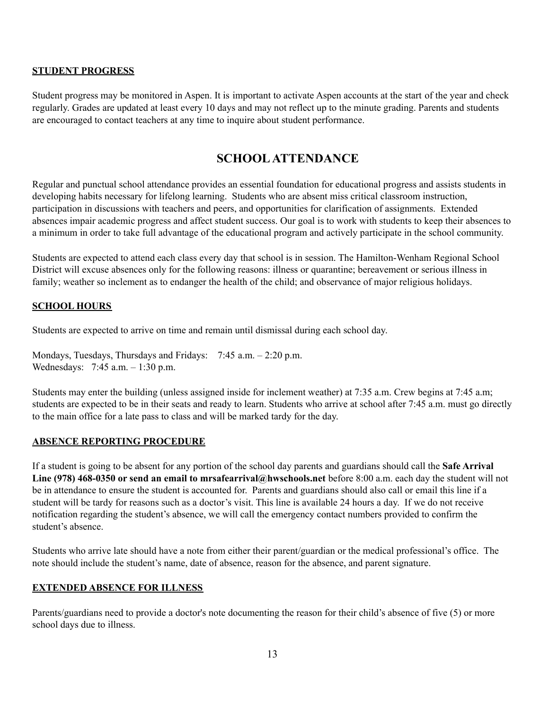#### **STUDENT PROGRESS**

Student progress may be monitored in Aspen. It is important to activate Aspen accounts at the start of the year and check regularly. Grades are updated at least every 10 days and may not reflect up to the minute grading. Parents and students are encouraged to contact teachers at any time to inquire about student performance.

## **SCHOOLATTENDANCE**

Regular and punctual school attendance provides an essential foundation for educational progress and assists students in developing habits necessary for lifelong learning. Students who are absent miss critical classroom instruction, participation in discussions with teachers and peers, and opportunities for clarification of assignments. Extended absences impair academic progress and affect student success. Our goal is to work with students to keep their absences to a minimum in order to take full advantage of the educational program and actively participate in the school community.

Students are expected to attend each class every day that school is in session. The Hamilton-Wenham Regional School District will excuse absences only for the following reasons: illness or quarantine; bereavement or serious illness in family; weather so inclement as to endanger the health of the child; and observance of major religious holidays.

### **SCHOOL HOURS**

Students are expected to arrive on time and remain until dismissal during each school day.

Mondays, Tuesdays, Thursdays and Fridays: 7:45 a.m. - 2:20 p.m. Wednesdays: 7:45 a.m. – 1:30 p.m.

Students may enter the building (unless assigned inside for inclement weather) at 7:35 a.m. Crew begins at 7:45 a.m; students are expected to be in their seats and ready to learn. Students who arrive at school after 7:45 a.m. must go directly to the main office for a late pass to class and will be marked tardy for the day.

#### **ABSENCE REPORTING PROCEDURE**

If a student is going to be absent for any portion of the school day parents and guardians should call the **Safe Arrival Line (978) 468-0350 or send an email to mrsafearrival@hwschools.net** before 8:00 a.m. each day the student will not be in attendance to ensure the student is accounted for. Parents and guardians should also call or email this line if a student will be tardy for reasons such as a doctor's visit. This line is available 24 hours a day. If we do not receive notification regarding the student's absence, we will call the emergency contact numbers provided to confirm the student's absence.

Students who arrive late should have a note from either their parent/guardian or the medical professional's office. The note should include the student's name, date of absence, reason for the absence, and parent signature.

#### **EXTENDED ABSENCE FOR ILLNESS**

Parents/guardians need to provide a doctor's note documenting the reason for their child's absence of five (5) or more school days due to illness.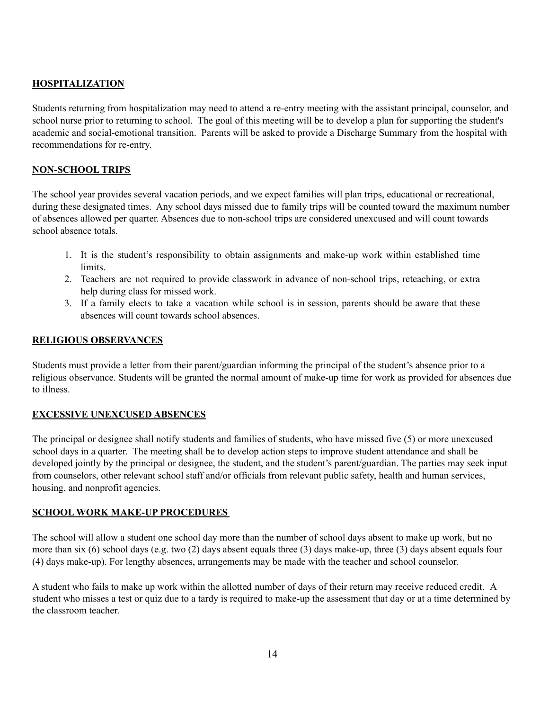### **HOSPITALIZATION**

Students returning from hospitalization may need to attend a re-entry meeting with the assistant principal, counselor, and school nurse prior to returning to school. The goal of this meeting will be to develop a plan for supporting the student's academic and social-emotional transition. Parents will be asked to provide a Discharge Summary from the hospital with recommendations for re-entry.

#### **NON-SCHOOL TRIPS**

The school year provides several vacation periods, and we expect families will plan trips, educational or recreational, during these designated times. Any school days missed due to family trips will be counted toward the maximum number of absences allowed per quarter. Absences due to non-school trips are considered unexcused and will count towards school absence totals.

- 1. It is the student's responsibility to obtain assignments and make-up work within established time limits.
- 2. Teachers are not required to provide classwork in advance of non-school trips, reteaching, or extra help during class for missed work.
- 3. If a family elects to take a vacation while school is in session, parents should be aware that these absences will count towards school absences.

#### **RELIGIOUS OBSERVANCES**

Students must provide a letter from their parent/guardian informing the principal of the student's absence prior to a religious observance. Students will be granted the normal amount of make-up time for work as provided for absences due to illness.

### **EXCESSIVE UNEXCUSED ABSENCES**

The principal or designee shall notify students and families of students, who have missed five (5) or more unexcused school days in a quarter. The meeting shall be to develop action steps to improve student attendance and shall be developed jointly by the principal or designee, the student, and the student's parent/guardian. The parties may seek input from counselors, other relevant school staff and/or officials from relevant public safety, health and human services, housing, and nonprofit agencies.

#### **SCHOOL WORK MAKE-UP PROCEDURES**

The school will allow a student one school day more than the number of school days absent to make up work, but no more than six (6) school days (e.g. two (2) days absent equals three (3) days make-up, three (3) days absent equals four (4) days make-up). For lengthy absences, arrangements may be made with the teacher and school counselor.

A student who fails to make up work within the allotted number of days of their return may receive reduced credit. A student who misses a test or quiz due to a tardy is required to make-up the assessment that day or at a time determined by the classroom teacher.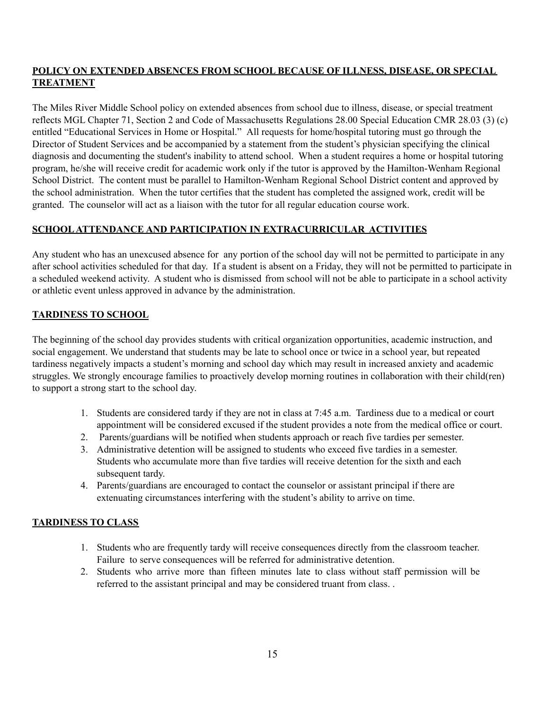### **POLICY ON EXTENDED ABSENCES FROM SCHOOL BECAUSE OF ILLNESS, DISEASE, OR SPECIAL TREATMENT**

The Miles River Middle School policy on extended absences from school due to illness, disease, or special treatment reflects MGL Chapter 71, Section 2 and Code of Massachusetts Regulations 28.00 Special Education CMR 28.03 (3) (c) entitled "Educational Services in Home or Hospital." All requests for home/hospital tutoring must go through the Director of Student Services and be accompanied by a statement from the student's physician specifying the clinical diagnosis and documenting the student's inability to attend school. When a student requires a home or hospital tutoring program, he/she will receive credit for academic work only if the tutor is approved by the Hamilton-Wenham Regional School District. The content must be parallel to Hamilton-Wenham Regional School District content and approved by the school administration. When the tutor certifies that the student has completed the assigned work, credit will be granted. The counselor will act as a liaison with the tutor for all regular education course work.

### **SCHOOLATTENDANCE AND PARTICIPATION IN EXTRACURRICULAR ACTIVITIES**

Any student who has an unexcused absence for any portion of the school day will not be permitted to participate in any after school activities scheduled for that day. If a student is absent on a Friday, they will not be permitted to participate in a scheduled weekend activity. A student who is dismissed from school will not be able to participate in a school activity or athletic event unless approved in advance by the administration.

### **TARDINESS TO SCHOOL**

The beginning of the school day provides students with critical organization opportunities, academic instruction, and social engagement. We understand that students may be late to school once or twice in a school year, but repeated tardiness negatively impacts a student's morning and school day which may result in increased anxiety and academic struggles. We strongly encourage families to proactively develop morning routines in collaboration with their child(ren) to support a strong start to the school day.

- 1. Students are considered tardy if they are not in class at 7:45 a.m. Tardiness due to a medical or court appointment will be considered excused if the student provides a note from the medical office or court.
- 2. Parents/guardians will be notified when students approach or reach five tardies per semester.
- 3. Administrative detention will be assigned to students who exceed five tardies in a semester. Students who accumulate more than five tardies will receive detention for the sixth and each subsequent tardy.
- 4. Parents/guardians are encouraged to contact the counselor or assistant principal if there are extenuating circumstances interfering with the student's ability to arrive on time.

### **TARDINESS TO CLASS**

- 1. Students who are frequently tardy will receive consequences directly from the classroom teacher. Failure to serve consequences will be referred for administrative detention.
- 2. Students who arrive more than fifteen minutes late to class without staff permission will be referred to the assistant principal and may be considered truant from class. .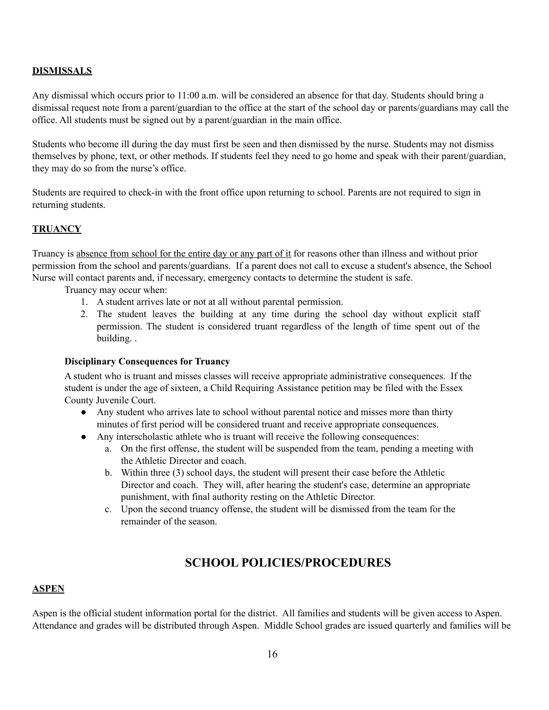#### **DISMISSALS**

Any dismissal which occurs prior to 11:00 a.m. will be considered an absence for that day. Students should bring a dismissal request note from a parent/guardian to the office at the start of the school day or parents/guardians may call the office. All students must be signed out by a parent/guardian in the main office.

Students who become ill during the day must first be seen and then dismissed by the nurse. Students may not dismiss themselves by phone, text, or other methods. If students feel they need to go home and speak with their parent/guardian, they may do so from the nurse's office.

Students are required to check-in with the front office upon returning to school. Parents are not required to sign in returning students.

### **TRUANCY**

Truancy is absence from school for the entire day or any part of it for reasons other than illness and without prior permission from the school and parents/guardians. If a parent does not call to excuse a student's absence, the School Nurse will contact parents and, if necessary, emergency contacts to determine the student is safe.

Truancy may occur when:

- 1. A student arrives late or not at all without parental permission.
- 2. The student leaves the building at any time during the school day without explicit staff permission. The student is considered truant regardless of the length of time spent out of the building. .

#### **Disciplinary Consequences for Truancy**

A student who is truant and misses classes will receive appropriate administrative consequences. If the student is under the age of sixteen, a Child Requiring Assistance petition may be filed with the Essex County Juvenile Court.

- Any student who arrives late to school without parental notice and misses more than thirty minutes of first period will be considered truant and receive appropriate consequences.
- Any interscholastic athlete who is truant will receive the following consequences:
	- a. On the first offense, the student will be suspended from the team, pending a meeting with the Athletic Director and coach.
	- b. Within three (3) school days, the student will present their case before the Athletic Director and coach. They will, after hearing the student's case, determine an appropriate punishment, with final authority resting on the Athletic Director.
	- c. Upon the second truancy offense, the student will be dismissed from the team for the remainder of the season.

## **SCHOOL POLICIES/PROCEDURES**

#### **ASPEN**

Aspen is the official student information portal for the district. All families and students will be given access to Aspen. Attendance and grades will be distributed through Aspen. Middle School grades are issued quarterly and families will be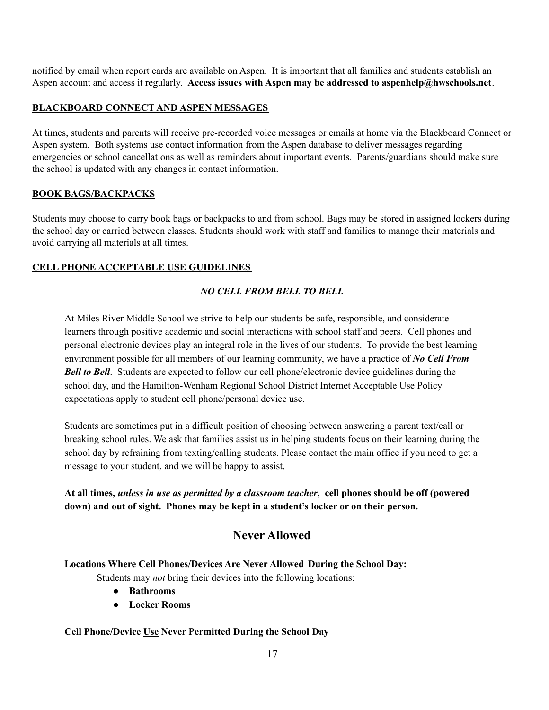notified by email when report cards are available on Aspen. It is important that all families and students establish an Aspen account and access it regularly. **Access issues with Aspen may be addressed to aspenhelp@hwschools.net**.

### **BLACKBOARD CONNECT AND ASPEN MESSAGES**

At times, students and parents will receive pre-recorded voice messages or emails at home via the Blackboard Connect or Aspen system. Both systems use contact information from the Aspen database to deliver messages regarding emergencies or school cancellations as well as reminders about important events. Parents/guardians should make sure the school is updated with any changes in contact information.

### **BOOK BAGS/BACKPACKS**

Students may choose to carry book bags or backpacks to and from school. Bags may be stored in assigned lockers during the school day or carried between classes. Students should work with staff and families to manage their materials and avoid carrying all materials at all times.

### **CELL PHONE ACCEPTABLE USE GUIDELINES**

### *NO CELL FROM BELL TO BELL*

At Miles River Middle School we strive to help our students be safe, responsible, and considerate learners through positive academic and social interactions with school staff and peers. Cell phones and personal electronic devices play an integral role in the lives of our students. To provide the best learning environment possible for all members of our learning community, we have a practice of *No Cell From Bell to Bell*. Students are expected to follow our cell phone/electronic device guidelines during the school day, and the Hamilton-Wenham Regional School District Internet Acceptable Use Policy expectations apply to student cell phone/personal device use.

Students are sometimes put in a difficult position of choosing between answering a parent text/call or breaking school rules. We ask that families assist us in helping students focus on their learning during the school day by refraining from texting/calling students. Please contact the main office if you need to get a message to your student, and we will be happy to assist.

At all times, unless in use as permitted by a classroom teacher, cell phones should be off (powered **down) and out of sight. Phones may be kept in a student's locker or on their person.**

# **Never Allowed**

### **Locations Where Cell Phones/Devices Are Never Allowed During the School Day:**

Students may *not* bring their devices into the following locations:

- **● Bathrooms**
- **● Locker Rooms**

### **Cell Phone/Device Use Never Permitted During the School Day**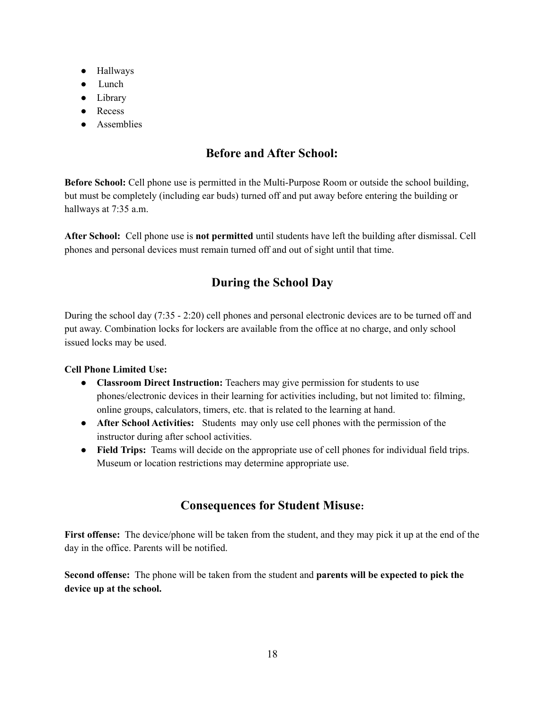- Hallways
- Lunch
- Library
- Recess
- Assemblies

# **Before and After School:**

**Before School:** Cell phone use is permitted in the Multi-Purpose Room or outside the school building, but must be completely (including ear buds) turned off and put away before entering the building or hallways at 7:35 a.m.

**After School:** Cell phone use is **not permitted** until students have left the building after dismissal. Cell phones and personal devices must remain turned off and out of sight until that time.

# **During the School Day**

During the school day (7:35 - 2:20) cell phones and personal electronic devices are to be turned off and put away. Combination locks for lockers are available from the office at no charge, and only school issued locks may be used.

### **Cell Phone Limited Use:**

- **● Classroom Direct Instruction:** Teachers may give permission for students to use phones/electronic devices in their learning for activities including, but not limited to: filming, online groups, calculators, timers, etc. that is related to the learning at hand.
- **After School Activities:** Students may only use cell phones with the permission of the instructor during after school activities.
- **Field Trips:** Teams will decide on the appropriate use of cell phones for individual field trips. Museum or location restrictions may determine appropriate use.

# **Consequences for Student Misuse:**

**First offense:** The device/phone will be taken from the student, and they may pick it up at the end of the day in the office. Parents will be notified.

**Second offense:** The phone will be taken from the student and **parents will be expected to pick the device up at the school.**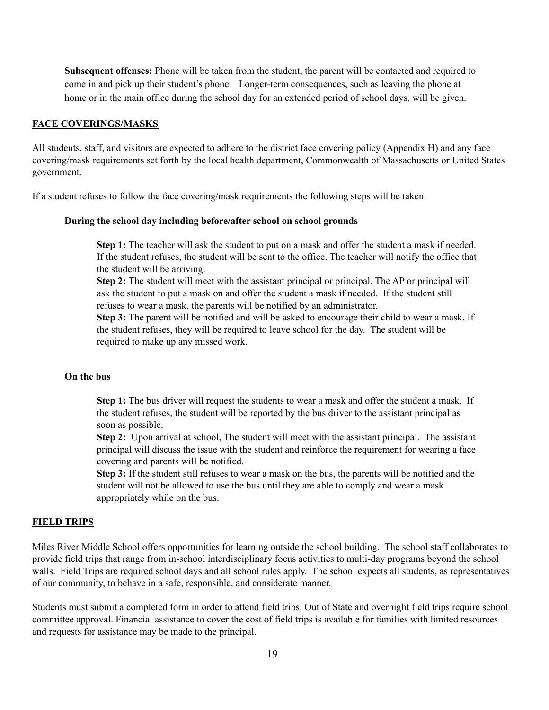**Subsequent offenses:** Phone will be taken from the student, the parent will be contacted and required to come in and pick up their student's phone. Longer-term consequences, such as leaving the phone at home or in the main office during the school day for an extended period of school days, will be given.

#### **FACE COVERINGS/MASKS**

All students, staff, and visitors are expected to adhere to the district face covering policy (Appendix H) and any face covering/mask requirements set forth by the local health department, Commonwealth of Massachusetts or United States government.

If a student refuses to follow the face covering/mask requirements the following steps will be taken:

#### **During the school day including before/after school on school grounds**

**Step 1:** The teacher will ask the student to put on a mask and offer the student a mask if needed. If the student refuses, the student will be sent to the office. The teacher will notify the office that the student will be arriving.

**Step 2:** The student will meet with the assistant principal or principal. The AP or principal will ask the student to put a mask on and offer the student a mask if needed. If the student still refuses to wear a mask, the parents will be notified by an administrator.

**Step 3:** The parent will be notified and will be asked to encourage their child to wear a mask. If the student refuses, they will be required to leave school for the day. The student will be required to make up any missed work.

#### **On the bus**

**Step 1:** The bus driver will request the students to wear a mask and offer the student a mask. If the student refuses, the student will be reported by the bus driver to the assistant principal as soon as possible.

**Step 2:** Upon arrival at school, The student will meet with the assistant principal. The assistant principal will discuss the issue with the student and reinforce the requirement for wearing a face covering and parents will be notified.

**Step 3:** If the student still refuses to wear a mask on the bus, the parents will be notified and the student will not be allowed to use the bus until they are able to comply and wear a mask appropriately while on the bus.

#### **FIELD TRIPS**

Miles River Middle School offers opportunities for learning outside the school building. The school staff collaborates to provide field trips that range from in-school interdisciplinary focus activities to multi-day programs beyond the school walls. Field Trips are required school days and all school rules apply. The school expects all students, as representatives of our community, to behave in a safe, responsible, and considerate manner.

Students must submit a completed form in order to attend field trips. Out of State and overnight field trips require school committee approval. Financial assistance to cover the cost of field trips is available for families with limited resources and requests for assistance may be made to the principal.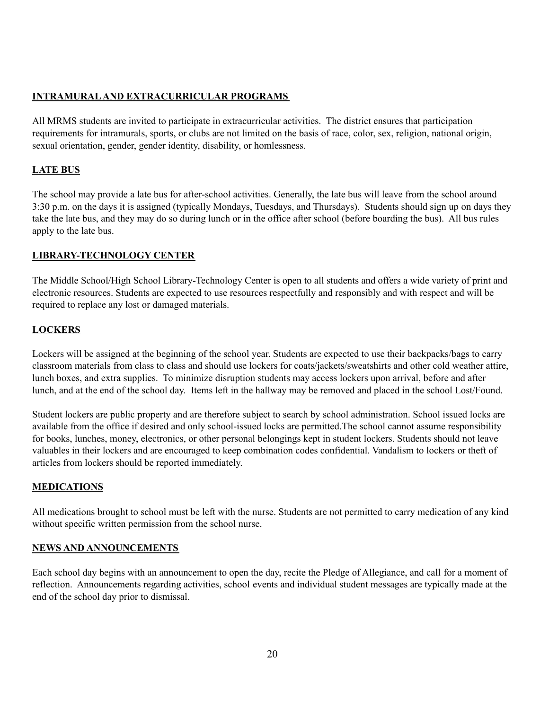### **INTRAMURALAND EXTRACURRICULAR PROGRAMS**

All MRMS students are invited to participate in extracurricular activities. The district ensures that participation requirements for intramurals, sports, or clubs are not limited on the basis of race, color, sex, religion, national origin, sexual orientation, gender, gender identity, disability, or homlessness.

### **LATE BUS**

The school may provide a late bus for after-school activities. Generally, the late bus will leave from the school around 3:30 p.m. on the days it is assigned (typically Mondays, Tuesdays, and Thursdays). Students should sign up on days they take the late bus, and they may do so during lunch or in the office after school (before boarding the bus). All bus rules apply to the late bus.

### **LIBRARY-TECHNOLOGY CENTER**

The Middle School/High School Library-Technology Center is open to all students and offers a wide variety of print and electronic resources. Students are expected to use resources respectfully and responsibly and with respect and will be required to replace any lost or damaged materials.

### **LOCKERS**

Lockers will be assigned at the beginning of the school year. Students are expected to use their backpacks/bags to carry classroom materials from class to class and should use lockers for coats/jackets/sweatshirts and other cold weather attire, lunch boxes, and extra supplies. To minimize disruption students may access lockers upon arrival, before and after lunch, and at the end of the school day. Items left in the hallway may be removed and placed in the school Lost/Found.

Student lockers are public property and are therefore subject to search by school administration. School issued locks are available from the office if desired and only school-issued locks are permitted.The school cannot assume responsibility for books, lunches, money, electronics, or other personal belongings kept in student lockers. Students should not leave valuables in their lockers and are encouraged to keep combination codes confidential. Vandalism to lockers or theft of articles from lockers should be reported immediately.

### **MEDICATIONS**

All medications brought to school must be left with the nurse. Students are not permitted to carry medication of any kind without specific written permission from the school nurse.

#### **NEWS AND ANNOUNCEMENTS**

Each school day begins with an announcement to open the day, recite the Pledge of Allegiance, and call for a moment of reflection. Announcements regarding activities, school events and individual student messages are typically made at the end of the school day prior to dismissal.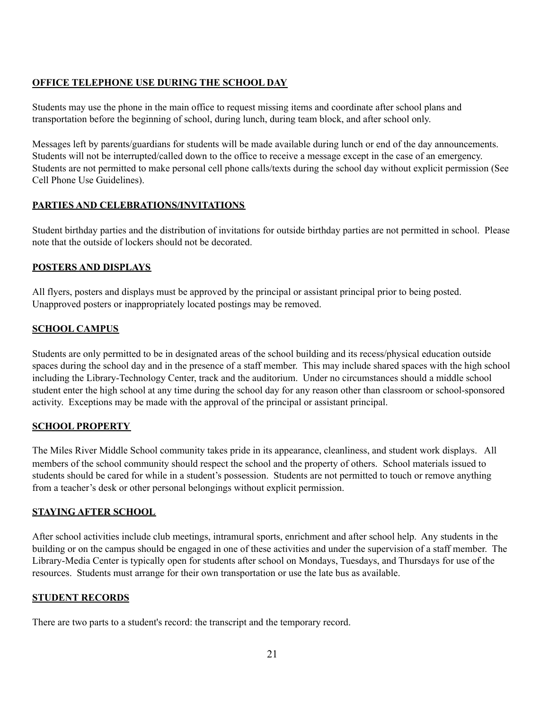#### **OFFICE TELEPHONE USE DURING THE SCHOOL DAY**

Students may use the phone in the main office to request missing items and coordinate after school plans and transportation before the beginning of school, during lunch, during team block, and after school only.

Messages left by parents/guardians for students will be made available during lunch or end of the day announcements. Students will not be interrupted/called down to the office to receive a message except in the case of an emergency. Students are not permitted to make personal cell phone calls/texts during the school day without explicit permission (See Cell Phone Use Guidelines).

#### **PARTIES AND CELEBRATIONS/INVITATIONS**

Student birthday parties and the distribution of invitations for outside birthday parties are not permitted in school. Please note that the outside of lockers should not be decorated.

#### **POSTERS AND DISPLAYS**

All flyers, posters and displays must be approved by the principal or assistant principal prior to being posted. Unapproved posters or inappropriately located postings may be removed.

#### **SCHOOL CAMPUS**

Students are only permitted to be in designated areas of the school building and its recess/physical education outside spaces during the school day and in the presence of a staff member. This may include shared spaces with the high school including the Library-Technology Center, track and the auditorium. Under no circumstances should a middle school student enter the high school at any time during the school day for any reason other than classroom or school-sponsored activity. Exceptions may be made with the approval of the principal or assistant principal.

### **SCHOOL PROPERTY**

The Miles River Middle School community takes pride in its appearance, cleanliness, and student work displays. All members of the school community should respect the school and the property of others. School materials issued to students should be cared for while in a student's possession. Students are not permitted to touch or remove anything from a teacher's desk or other personal belongings without explicit permission.

#### **STAYING AFTER SCHOOL**

After school activities include club meetings, intramural sports, enrichment and after school help. Any students in the building or on the campus should be engaged in one of these activities and under the supervision of a staff member. The Library-Media Center is typically open for students after school on Mondays, Tuesdays, and Thursdays for use of the resources. Students must arrange for their own transportation or use the late bus as available.

#### **STUDENT RECORDS**

There are two parts to a student's record: the transcript and the temporary record.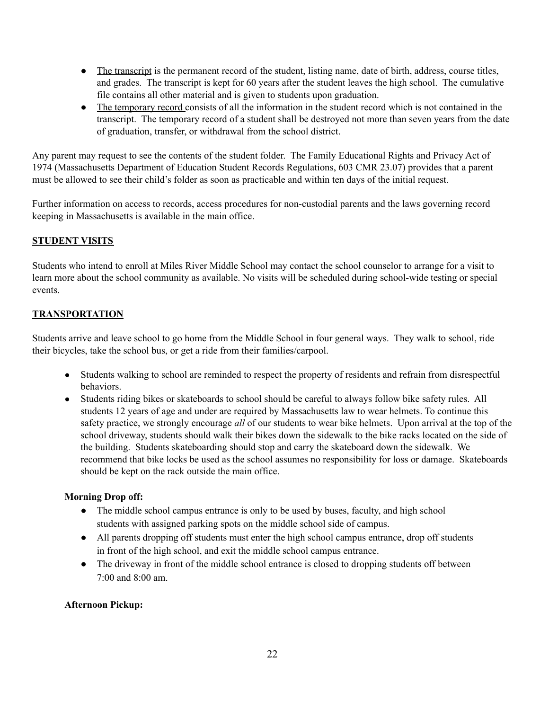- The transcript is the permanent record of the student, listing name, date of birth, address, course titles, and grades. The transcript is kept for 60 years after the student leaves the high school. The cumulative file contains all other material and is given to students upon graduation.
- The temporary record consists of all the information in the student record which is not contained in the transcript. The temporary record of a student shall be destroyed not more than seven years from the date of graduation, transfer, or withdrawal from the school district.

Any parent may request to see the contents of the student folder. The Family Educational Rights and Privacy Act of 1974 (Massachusetts Department of Education Student Records Regulations, 603 CMR 23.07) provides that a parent must be allowed to see their child's folder as soon as practicable and within ten days of the initial request.

Further information on access to records, access procedures for non-custodial parents and the laws governing record keeping in Massachusetts is available in the main office.

### **STUDENT VISITS**

Students who intend to enroll at Miles River Middle School may contact the school counselor to arrange for a visit to learn more about the school community as available. No visits will be scheduled during school-wide testing or special events.

### **TRANSPORTATION**

Students arrive and leave school to go home from the Middle School in four general ways. They walk to school, ride their bicycles, take the school bus, or get a ride from their families/carpool.

- Students walking to school are reminded to respect the property of residents and refrain from disrespectful behaviors.
- Students riding bikes or skateboards to school should be careful to always follow bike safety rules. All students 12 years of age and under are required by Massachusetts law to wear helmets. To continue this safety practice, we strongly encourage *all* of our students to wear bike helmets. Upon arrival at the top of the school driveway, students should walk their bikes down the sidewalk to the bike racks located on the side of the building. Students skateboarding should stop and carry the skateboard down the sidewalk. We recommend that bike locks be used as the school assumes no responsibility for loss or damage. Skateboards should be kept on the rack outside the main office.

#### **Morning Drop off:**

- The middle school campus entrance is only to be used by buses, faculty, and high school students with assigned parking spots on the middle school side of campus.
- All parents dropping off students must enter the high school campus entrance, drop off students in front of the high school, and exit the middle school campus entrance.
- The driveway in front of the middle school entrance is closed to dropping students off between 7:00 and 8:00 am.

### **Afternoon Pickup:**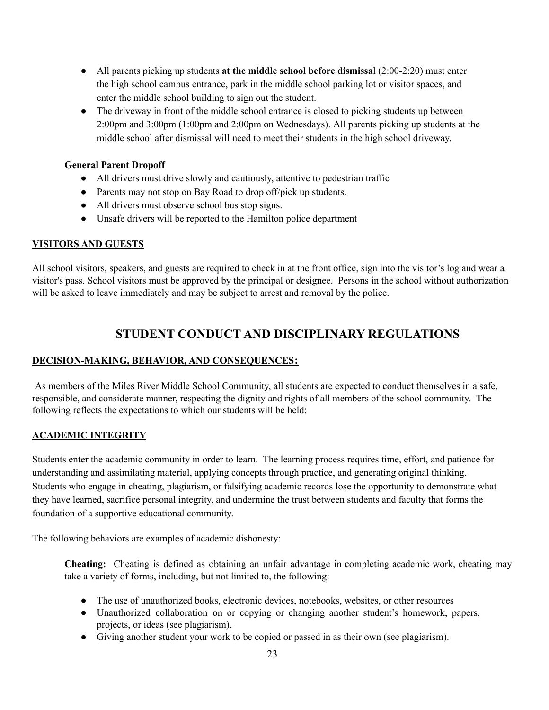- All parents picking up students **at the middle school before dismissa**l (2:00-2:20) must enter the high school campus entrance, park in the middle school parking lot or visitor spaces, and enter the middle school building to sign out the student.
- The driveway in front of the middle school entrance is closed to picking students up between 2:00pm and 3:00pm (1:00pm and 2:00pm on Wednesdays). All parents picking up students at the middle school after dismissal will need to meet their students in the high school driveway.

#### **General Parent Dropoff**

- All drivers must drive slowly and cautiously, attentive to pedestrian traffic
- Parents may not stop on Bay Road to drop off/pick up students.
- All drivers must observe school bus stop signs.
- Unsafe drivers will be reported to the Hamilton police department

### **VISITORS AND GUESTS**

All school visitors, speakers, and guests are required to check in at the front office, sign into the visitor's log and wear a visitor's pass. School visitors must be approved by the principal or designee. Persons in the school without authorization will be asked to leave immediately and may be subject to arrest and removal by the police.

# **STUDENT CONDUCT AND DISCIPLINARY REGULATIONS**

### **DECISION-MAKING, BEHAVIOR, AND CONSEQUENCES:**

As members of the Miles River Middle School Community, all students are expected to conduct themselves in a safe, responsible, and considerate manner, respecting the dignity and rights of all members of the school community. The following reflects the expectations to which our students will be held:

### **ACADEMIC INTEGRITY**

Students enter the academic community in order to learn. The learning process requires time, effort, and patience for understanding and assimilating material, applying concepts through practice, and generating original thinking. Students who engage in cheating, plagiarism, or falsifying academic records lose the opportunity to demonstrate what they have learned, sacrifice personal integrity, and undermine the trust between students and faculty that forms the foundation of a supportive educational community.

The following behaviors are examples of academic dishonesty:

**Cheating:** Cheating is defined as obtaining an unfair advantage in completing academic work, cheating may take a variety of forms, including, but not limited to, the following:

- The use of unauthorized books, electronic devices, notebooks, websites, or other resources
- Unauthorized collaboration on or copying or changing another student's homework, papers, projects, or ideas (see plagiarism).
- Giving another student your work to be copied or passed in as their own (see plagiarism).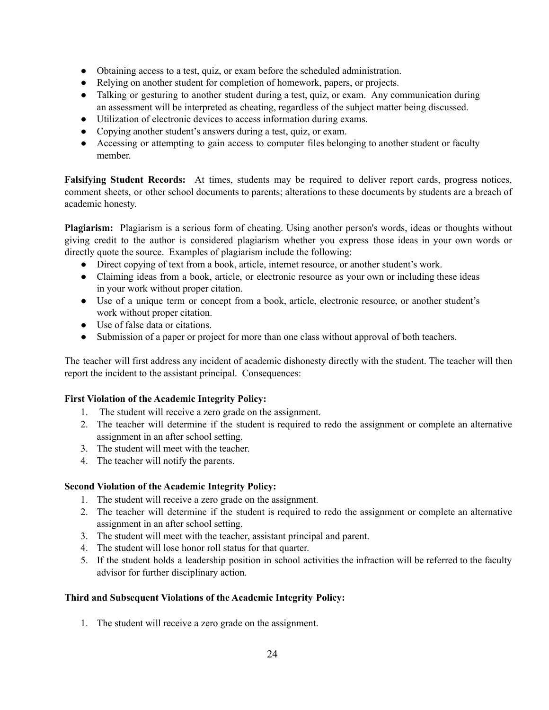- Obtaining access to a test, quiz, or exam before the scheduled administration.
- Relying on another student for completion of homework, papers, or projects.
- Talking or gesturing to another student during a test, quiz, or exam. Any communication during an assessment will be interpreted as cheating, regardless of the subject matter being discussed.
- Utilization of electronic devices to access information during exams.
- Copying another student's answers during a test, quiz, or exam.
- Accessing or attempting to gain access to computer files belonging to another student or faculty member.

**Falsifying Student Records:** At times, students may be required to deliver report cards, progress notices, comment sheets, or other school documents to parents; alterations to these documents by students are a breach of academic honesty.

**Plagiarism:** Plagiarism is a serious form of cheating. Using another person's words, ideas or thoughts without giving credit to the author is considered plagiarism whether you express those ideas in your own words or directly quote the source. Examples of plagiarism include the following:

- Direct copying of text from a book, article, internet resource, or another student's work.
- Claiming ideas from a book, article, or electronic resource as your own or including these ideas in your work without proper citation.
- Use of a unique term or concept from a book, article, electronic resource, or another student's work without proper citation.
- Use of false data or citations.
- Submission of a paper or project for more than one class without approval of both teachers.

The teacher will first address any incident of academic dishonesty directly with the student. The teacher will then report the incident to the assistant principal. Consequences:

### **First Violation of the Academic Integrity Policy:**

- 1. The student will receive a zero grade on the assignment.
- 2. The teacher will determine if the student is required to redo the assignment or complete an alternative assignment in an after school setting.
- 3. The student will meet with the teacher.
- 4. The teacher will notify the parents.

### **Second Violation of the Academic Integrity Policy:**

- 1. The student will receive a zero grade on the assignment.
- 2. The teacher will determine if the student is required to redo the assignment or complete an alternative assignment in an after school setting.
- 3. The student will meet with the teacher, assistant principal and parent.
- 4. The student will lose honor roll status for that quarter.
- 5. If the student holds a leadership position in school activities the infraction will be referred to the faculty advisor for further disciplinary action.

### **Third and Subsequent Violations of the Academic Integrity Policy:**

1. The student will receive a zero grade on the assignment.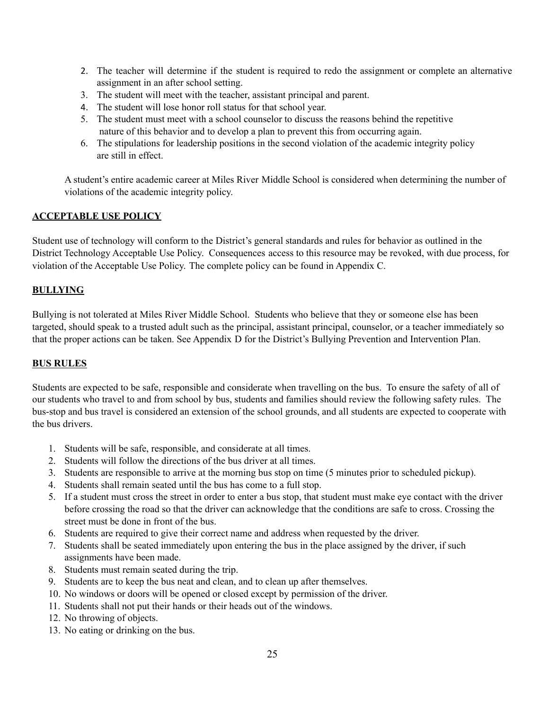- 2. The teacher will determine if the student is required to redo the assignment or complete an alternative assignment in an after school setting.
- 3. The student will meet with the teacher, assistant principal and parent.
- 4. The student will lose honor roll status for that school year.
- 5. The student must meet with a school counselor to discuss the reasons behind the repetitive nature of this behavior and to develop a plan to prevent this from occurring again.
- 6. The stipulations for leadership positions in the second violation of the academic integrity policy are still in effect.

A student's entire academic career at Miles River Middle School is considered when determining the number of violations of the academic integrity policy.

#### **ACCEPTABLE USE POLICY**

Student use of technology will conform to the District's general standards and rules for behavior as outlined in the District Technology Acceptable Use Policy. Consequences access to this resource may be revoked, with due process, for violation of the Acceptable Use Policy. The complete policy can be found in Appendix C.

#### **BULLYING**

Bullying is not tolerated at Miles River Middle School. Students who believe that they or someone else has been targeted, should speak to a trusted adult such as the principal, assistant principal, counselor, or a teacher immediately so that the proper actions can be taken. See Appendix D for the District's Bullying Prevention and Intervention Plan.

#### **BUS RULES**

Students are expected to be safe, responsible and considerate when travelling on the bus. To ensure the safety of all of our students who travel to and from school by bus, students and families should review the following safety rules. The bus-stop and bus travel is considered an extension of the school grounds, and all students are expected to cooperate with the bus drivers.

- 1. Students will be safe, responsible, and considerate at all times.
- 2. Students will follow the directions of the bus driver at all times.
- 3. Students are responsible to arrive at the morning bus stop on time (5 minutes prior to scheduled pickup).
- 4. Students shall remain seated until the bus has come to a full stop.
- 5. If a student must cross the street in order to enter a bus stop, that student must make eye contact with the driver before crossing the road so that the driver can acknowledge that the conditions are safe to cross. Crossing the street must be done in front of the bus.
- 6. Students are required to give their correct name and address when requested by the driver.
- 7. Students shall be seated immediately upon entering the bus in the place assigned by the driver, if such assignments have been made.
- 8. Students must remain seated during the trip.
- 9. Students are to keep the bus neat and clean, and to clean up after themselves.
- 10. No windows or doors will be opened or closed except by permission of the driver.
- 11. Students shall not put their hands or their heads out of the windows.
- 12. No throwing of objects.
- 13. No eating or drinking on the bus.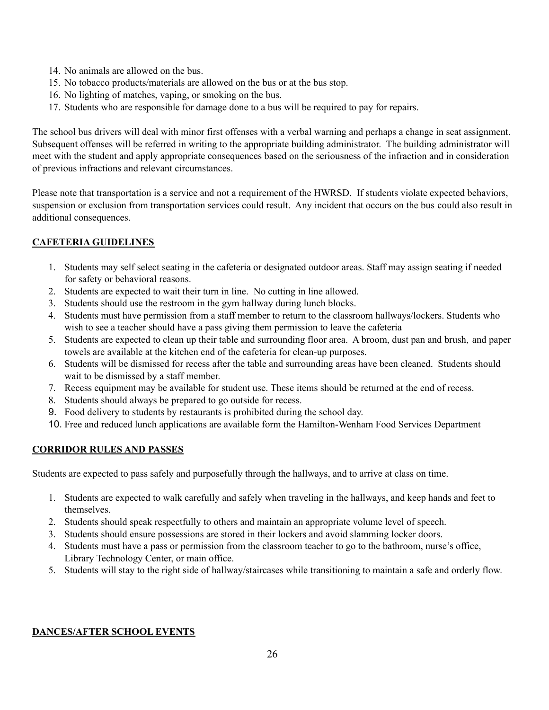- 14. No animals are allowed on the bus.
- 15. No tobacco products/materials are allowed on the bus or at the bus stop.
- 16. No lighting of matches, vaping, or smoking on the bus.
- 17. Students who are responsible for damage done to a bus will be required to pay for repairs.

The school bus drivers will deal with minor first offenses with a verbal warning and perhaps a change in seat assignment. Subsequent offenses will be referred in writing to the appropriate building administrator. The building administrator will meet with the student and apply appropriate consequences based on the seriousness of the infraction and in consideration of previous infractions and relevant circumstances.

Please note that transportation is a service and not a requirement of the HWRSD. If students violate expected behaviors, suspension or exclusion from transportation services could result. Any incident that occurs on the bus could also result in additional consequences.

### **CAFETERIA GUIDELINES**

- 1. Students may self select seating in the cafeteria or designated outdoor areas. Staff may assign seating if needed for safety or behavioral reasons.
- 2. Students are expected to wait their turn in line. No cutting in line allowed.
- 3. Students should use the restroom in the gym hallway during lunch blocks.
- 4. Students must have permission from a staff member to return to the classroom hallways/lockers. Students who wish to see a teacher should have a pass giving them permission to leave the cafeteria
- 5. Students are expected to clean up their table and surrounding floor area. A broom, dust pan and brush, and paper towels are available at the kitchen end of the cafeteria for clean-up purposes.
- 6. Students will be dismissed for recess after the table and surrounding areas have been cleaned. Students should wait to be dismissed by a staff member.
- 7. Recess equipment may be available for student use. These items should be returned at the end of recess.
- 8. Students should always be prepared to go outside for recess.
- 9. Food delivery to students by restaurants is prohibited during the school day.
- 10. Free and reduced lunch applications are available form the Hamilton-Wenham Food Services Department

### **CORRIDOR RULES AND PASSES**

Students are expected to pass safely and purposefully through the hallways, and to arrive at class on time.

- 1. Students are expected to walk carefully and safely when traveling in the hallways, and keep hands and feet to themselves.
- 2. Students should speak respectfully to others and maintain an appropriate volume level of speech.
- 3. Students should ensure possessions are stored in their lockers and avoid slamming locker doors.
- 4. Students must have a pass or permission from the classroom teacher to go to the bathroom, nurse's office, Library Technology Center, or main office.
- 5. Students will stay to the right side of hallway/staircases while transitioning to maintain a safe and orderly flow.

#### **DANCES/AFTER SCHOOL EVENTS**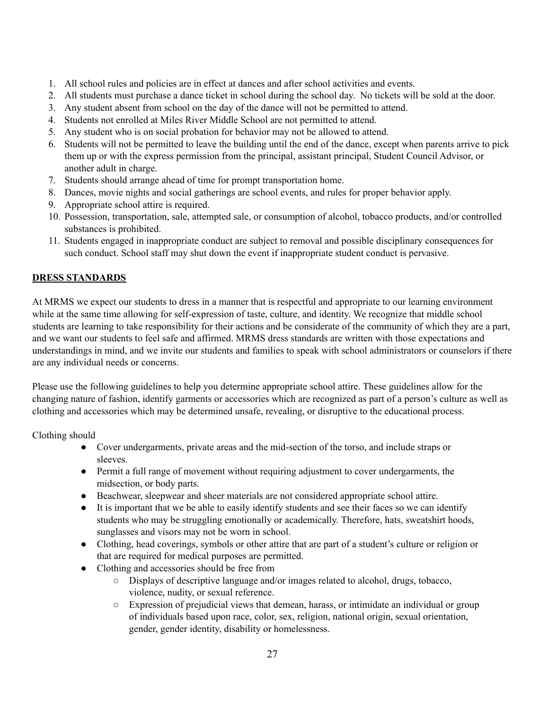- 1. All school rules and policies are in effect at dances and after school activities and events.
- 2. All students must purchase a dance ticket in school during the school day. No tickets will be sold at the door.
- 3. Any student absent from school on the day of the dance will not be permitted to attend.
- 4. Students not enrolled at Miles River Middle School are not permitted to attend.
- 5. Any student who is on social probation for behavior may not be allowed to attend.
- 6. Students will not be permitted to leave the building until the end of the dance, except when parents arrive to pick them up or with the express permission from the principal, assistant principal, Student Council Advisor, or another adult in charge.
- 7. Students should arrange ahead of time for prompt transportation home.
- 8. Dances, movie nights and social gatherings are school events, and rules for proper behavior apply.
- 9. Appropriate school attire is required.
- 10. Possession, transportation, sale, attempted sale, or consumption of alcohol, tobacco products, and/or controlled substances is prohibited.
- 11. Students engaged in inappropriate conduct are subject to removal and possible disciplinary consequences for such conduct. School staff may shut down the event if inappropriate student conduct is pervasive.

### **DRESS STANDARDS**

At MRMS we expect our students to dress in a manner that is respectful and appropriate to our learning environment while at the same time allowing for self-expression of taste, culture, and identity. We recognize that middle school students are learning to take responsibility for their actions and be considerate of the community of which they are a part, and we want our students to feel safe and affirmed. MRMS dress standards are written with those expectations and understandings in mind, and we invite our students and families to speak with school administrators or counselors if there are any individual needs or concerns.

Please use the following guidelines to help you determine appropriate school attire. These guidelines allow for the changing nature of fashion, identify garments or accessories which are recognized as part of a person's culture as well as clothing and accessories which may be determined unsafe, revealing, or disruptive to the educational process.

Clothing should

- Cover undergarments, private areas and the mid-section of the torso, and include straps or sleeves.
- Permit a full range of movement without requiring adjustment to cover undergarments, the midsection, or body parts.
- Beachwear, sleepwear and sheer materials are not considered appropriate school attire.
- It is important that we be able to easily identify students and see their faces so we can identify students who may be struggling emotionally or academically. Therefore, hats, sweatshirt hoods, sunglasses and visors may not be worn in school.
- Clothing, head coverings, symbols or other attire that are part of a student's culture or religion or that are required for medical purposes are permitted.
- Clothing and accessories should be free from
	- Displays of descriptive language and/or images related to alcohol, drugs, tobacco, violence, nudity, or sexual reference.
	- Expression of prejudicial views that demean, harass, or intimidate an individual or group of individuals based upon race, color, sex, religion, national origin, sexual orientation, gender, gender identity, disability or homelessness.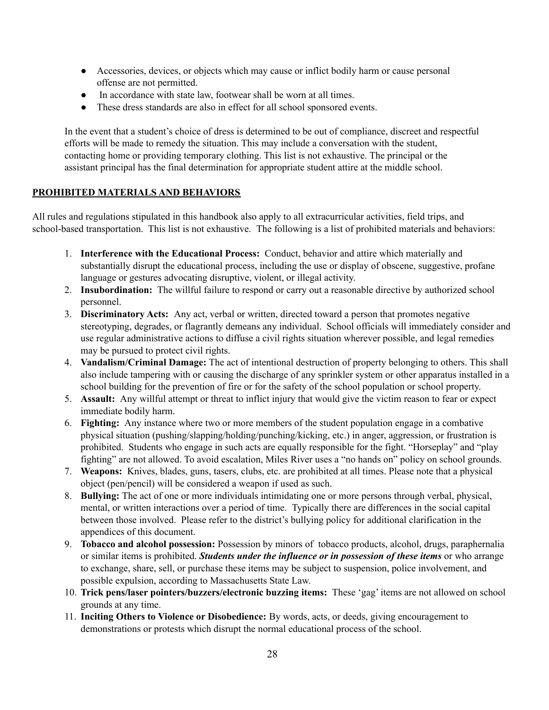- Accessories, devices, or objects which may cause or inflict bodily harm or cause personal offense are not permitted.
- In accordance with state law, footwear shall be worn at all times.
- These dress standards are also in effect for all school sponsored events.

In the event that a student's choice of dress is determined to be out of compliance, discreet and respectful efforts will be made to remedy the situation. This may include a conversation with the student, contacting home or providing temporary clothing. This list is not exhaustive. The principal or the assistant principal has the final determination for appropriate student attire at the middle school.

### **PROHIBITED MATERIALS AND BEHAVIORS**

All rules and regulations stipulated in this handbook also apply to all extracurricular activities, field trips, and school-based transportation. This list is not exhaustive. The following is a list of prohibited materials and behaviors:

- 1. **Interference with the Educational Process:** Conduct, behavior and attire which materially and substantially disrupt the educational process, including the use or display of obscene, suggestive, profane language or gestures advocating disruptive, violent, or illegal activity.
- 2. **Insubordination:** The willful failure to respond or carry out a reasonable directive by authorized school personnel.
- 3. **Discriminatory Acts:** Any act, verbal or written, directed toward a person that promotes negative stereotyping, degrades, or flagrantly demeans any individual. School officials will immediately consider and use regular administrative actions to diffuse a civil rights situation wherever possible, and legal remedies may be pursued to protect civil rights.
- 4. **Vandalism/Criminal Damage:** The act of intentional destruction of property belonging to others. This shall also include tampering with or causing the discharge of any sprinkler system or other apparatus installed in a school building for the prevention of fire or for the safety of the school population or school property.
- 5. **Assault:** Any willful attempt or threat to inflict injury that would give the victim reason to fear or expect immediate bodily harm.
- 6. **Fighting:** Any instance where two or more members of the student population engage in a combative physical situation (pushing/slapping/holding/punching/kicking, etc.) in anger, aggression, or frustration is prohibited. Students who engage in such acts are equally responsible for the fight. "Horseplay" and "play fighting" are not allowed. To avoid escalation, Miles River uses a "no hands on" policy on school grounds.
- 7. **Weapons:** Knives, blades, guns, tasers, clubs, etc. are prohibited at all times. Please note that a physical object (pen/pencil) will be considered a weapon if used as such.
- 8. **Bullying:** The act of one or more individuals intimidating one or more persons through verbal, physical, mental, or written interactions over a period of time. Typically there are differences in the social capital between those involved. Please refer to the district's bullying policy for additional clarification in the appendices of this document.
- 9. **Tobacco and alcohol possession:** Possession by minors of tobacco products, alcohol, drugs, paraphernalia or similar items is prohibited. *Students under the influence or in possession of these items* or who arrange to exchange, share, sell, or purchase these items may be subject to suspension, police involvement, and possible expulsion, according to Massachusetts State Law.
- 10. **Trick pens/laser pointers/buzzers/electronic buzzing items:** These 'gag' items are not allowed on school grounds at any time.
- 11. **Inciting Others to Violence or Disobedience:** By words, acts, or deeds, giving encouragement to demonstrations or protests which disrupt the normal educational process of the school.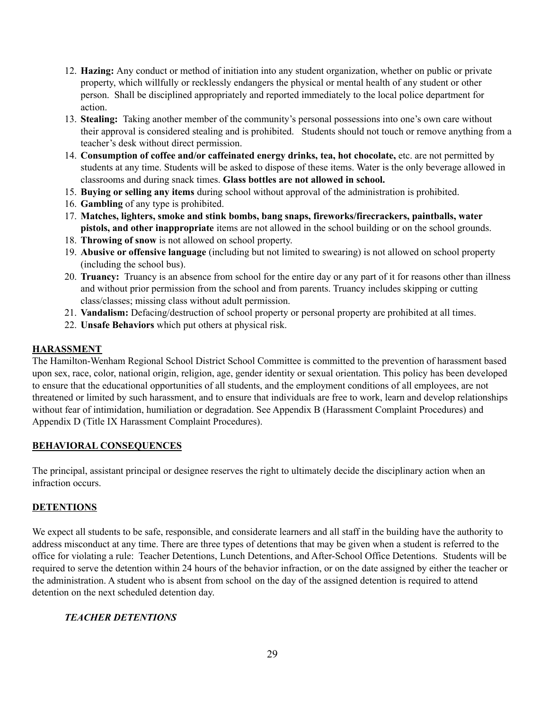- 12. **Hazing:** Any conduct or method of initiation into any student organization, whether on public or private property, which willfully or recklessly endangers the physical or mental health of any student or other person. Shall be disciplined appropriately and reported immediately to the local police department for action.
- 13. **Stealing:** Taking another member of the community's personal possessions into one's own care without their approval is considered stealing and is prohibited. Students should not touch or remove anything from a teacher's desk without direct permission.
- 14. **Consumption of coffee and/or caffeinated energy drinks, tea, hot chocolate,** etc. are not permitted by students at any time. Students will be asked to dispose of these items. Water is the only beverage allowed in classrooms and during snack times. **Glass bottles are not allowed in school.**
- 15. **Buying or selling any items** during school without approval of the administration is prohibited.
- 16. **Gambling** of any type is prohibited.
- 17. **Matches, lighters, smoke and stink bombs, bang snaps, fireworks/firecrackers, paintballs, water pistols, and other inappropriate** items are not allowed in the school building or on the school grounds.
- 18. **Throwing of snow** is not allowed on school property.
- 19. **Abusive or offensive language** (including but not limited to swearing) is not allowed on school property (including the school bus).
- 20. **Truancy:** Truancy is an absence from school for the entire day or any part of it for reasons other than illness and without prior permission from the school and from parents. Truancy includes skipping or cutting class/classes; missing class without adult permission.
- 21. **Vandalism:** Defacing/destruction of school property or personal property are prohibited at all times.
- 22. **Unsafe Behaviors** which put others at physical risk.

#### **HARASSMENT**

The Hamilton-Wenham Regional School District School Committee is committed to the prevention of harassment based upon sex, race, color, national origin, religion, age, gender identity or sexual orientation. This policy has been developed to ensure that the educational opportunities of all students, and the employment conditions of all employees, are not threatened or limited by such harassment, and to ensure that individuals are free to work, learn and develop relationships without fear of intimidation, humiliation or degradation. See Appendix B (Harassment Complaint Procedures) and Appendix D (Title IX Harassment Complaint Procedures).

#### **BEHAVIORAL CONSEQUENCES**

The principal, assistant principal or designee reserves the right to ultimately decide the disciplinary action when an infraction occurs.

### **DETENTIONS**

We expect all students to be safe, responsible, and considerate learners and all staff in the building have the authority to address misconduct at any time. There are three types of detentions that may be given when a student is referred to the office for violating a rule: Teacher Detentions, Lunch Detentions, and After-School Office Detentions. Students will be required to serve the detention within 24 hours of the behavior infraction, or on the date assigned by either the teacher or the administration. A student who is absent from school on the day of the assigned detention is required to attend detention on the next scheduled detention day.

#### *TEACHER DETENTIONS*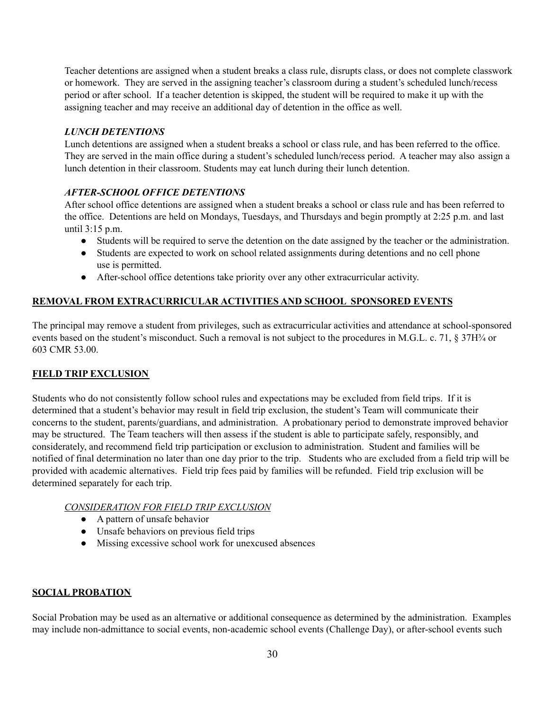Teacher detentions are assigned when a student breaks a class rule, disrupts class, or does not complete classwork or homework. They are served in the assigning teacher's classroom during a student's scheduled lunch/recess period or after school. If a teacher detention is skipped, the student will be required to make it up with the assigning teacher and may receive an additional day of detention in the office as well.

#### *LUNCH DETENTIONS*

Lunch detentions are assigned when a student breaks a school or class rule, and has been referred to the office. They are served in the main office during a student's scheduled lunch/recess period. A teacher may also assign a lunch detention in their classroom. Students may eat lunch during their lunch detention.

### *AFTER-SCHOOL OFFICE DETENTIONS*

After school office detentions are assigned when a student breaks a school or class rule and has been referred to the office. Detentions are held on Mondays, Tuesdays, and Thursdays and begin promptly at 2:25 p.m. and last until 3:15 p.m.

- Students will be required to serve the detention on the date assigned by the teacher or the administration.
- Students are expected to work on school related assignments during detentions and no cell phone use is permitted.
- After-school office detentions take priority over any other extracurricular activity.

### **REMOVAL FROM EXTRACURRICULAR ACTIVITIES AND SCHOOL SPONSORED EVENTS**

The principal may remove a student from privileges, such as extracurricular activities and attendance at school-sponsored events based on the student's misconduct. Such a removal is not subject to the procedures in M.G.L. c. 71, § 37H¼ or 603 CMR 53.00.

#### **FIELD TRIP EXCLUSION**

Students who do not consistently follow school rules and expectations may be excluded from field trips. If it is determined that a student's behavior may result in field trip exclusion, the student's Team will communicate their concerns to the student, parents/guardians, and administration. A probationary period to demonstrate improved behavior may be structured. The Team teachers will then assess if the student is able to participate safely, responsibly, and considerately, and recommend field trip participation or exclusion to administration. Student and families will be notified of final determination no later than one day prior to the trip. Students who are excluded from a field trip will be provided with academic alternatives. Field trip fees paid by families will be refunded. Field trip exclusion will be determined separately for each trip.

#### *CONSIDERATION FOR FIELD TRIP EXCLUSION*

- A pattern of unsafe behavior
- Unsafe behaviors on previous field trips
- Missing excessive school work for unexcused absences

#### **SOCIAL PROBATION**

Social Probation may be used as an alternative or additional consequence as determined by the administration. Examples may include non-admittance to social events, non-academic school events (Challenge Day), or after-school events such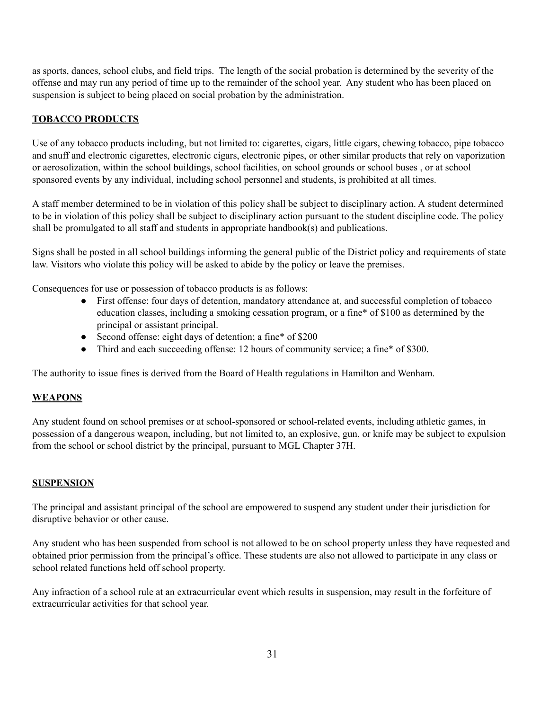as sports, dances, school clubs, and field trips. The length of the social probation is determined by the severity of the offense and may run any period of time up to the remainder of the school year. Any student who has been placed on suspension is subject to being placed on social probation by the administration.

### **TOBACCO PRODUCTS**

Use of any tobacco products including, but not limited to: cigarettes, cigars, little cigars, chewing tobacco, pipe tobacco and snuff and electronic cigarettes, electronic cigars, electronic pipes, or other similar products that rely on vaporization or aerosolization, within the school buildings, school facilities, on school grounds or school buses , or at school sponsored events by any individual, including school personnel and students, is prohibited at all times.

A staff member determined to be in violation of this policy shall be subject to disciplinary action. A student determined to be in violation of this policy shall be subject to disciplinary action pursuant to the student discipline code. The policy shall be promulgated to all staff and students in appropriate handbook(s) and publications.

Signs shall be posted in all school buildings informing the general public of the District policy and requirements of state law. Visitors who violate this policy will be asked to abide by the policy or leave the premises.

Consequences for use or possession of tobacco products is as follows:

- First offense: four days of detention, mandatory attendance at, and successful completion of tobacco education classes, including a smoking cessation program, or a fine\* of \$100 as determined by the principal or assistant principal.
- Second offense: eight days of detention; a fine\* of \$200
- Third and each succeeding offense: 12 hours of community service; a fine\* of \$300.

The authority to issue fines is derived from the Board of Health regulations in Hamilton and Wenham.

#### **WEAPONS**

Any student found on school premises or at school-sponsored or school-related events, including athletic games, in possession of a dangerous weapon, including, but not limited to, an explosive, gun, or knife may be subject to expulsion from the school or school district by the principal, pursuant to MGL Chapter 37H.

### **SUSPENSION**

The principal and assistant principal of the school are empowered to suspend any student under their jurisdiction for disruptive behavior or other cause.

Any student who has been suspended from school is not allowed to be on school property unless they have requested and obtained prior permission from the principal's office. These students are also not allowed to participate in any class or school related functions held off school property.

Any infraction of a school rule at an extracurricular event which results in suspension, may result in the forfeiture of extracurricular activities for that school year.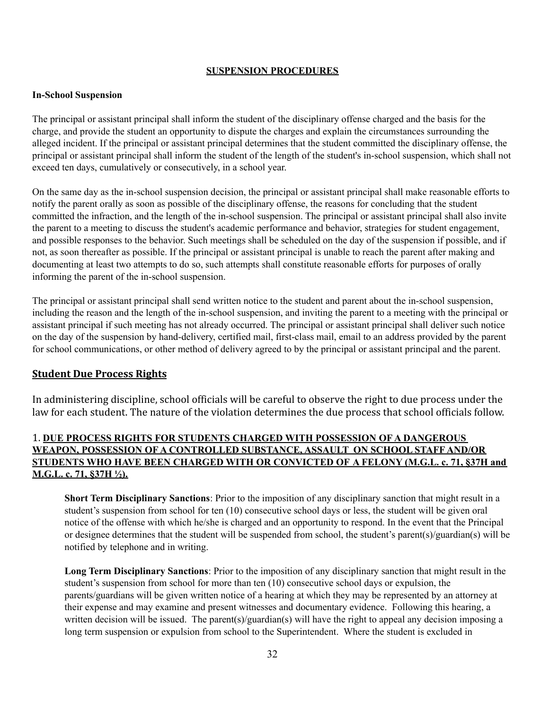#### **SUSPENSION PROCEDURES**

#### **In-School Suspension**

The principal or assistant principal shall inform the student of the disciplinary offense charged and the basis for the charge, and provide the student an opportunity to dispute the charges and explain the circumstances surrounding the alleged incident. If the principal or assistant principal determines that the student committed the disciplinary offense, the principal or assistant principal shall inform the student of the length of the student's in-school suspension, which shall not exceed ten days, cumulatively or consecutively, in a school year.

On the same day as the in-school suspension decision, the principal or assistant principal shall make reasonable efforts to notify the parent orally as soon as possible of the disciplinary offense, the reasons for concluding that the student committed the infraction, and the length of the in-school suspension. The principal or assistant principal shall also invite the parent to a meeting to discuss the student's academic performance and behavior, strategies for student engagement, and possible responses to the behavior. Such meetings shall be scheduled on the day of the suspension if possible, and if not, as soon thereafter as possible. If the principal or assistant principal is unable to reach the parent after making and documenting at least two attempts to do so, such attempts shall constitute reasonable efforts for purposes of orally informing the parent of the in-school suspension.

The principal or assistant principal shall send written notice to the student and parent about the in-school suspension, including the reason and the length of the in-school suspension, and inviting the parent to a meeting with the principal or assistant principal if such meeting has not already occurred. The principal or assistant principal shall deliver such notice on the day of the suspension by hand-delivery, certified mail, first-class mail, email to an address provided by the parent for school communications, or other method of delivery agreed to by the principal or assistant principal and the parent.

#### **Student Due Process Rights**

In administering discipline, school officials will be careful to observe the right to due process under the law for each student. The nature of the violation determines the due process that school officials follow.

### 1. **DUE PROCESS RIGHTS FOR STUDENTS CHARGED WITH POSSESSION OF A DANGEROUS WEAPON, POSSESSION OF A CONTROLLED SUBSTANCE, ASSAULT ON SCHOOL STAFF AND/OR STUDENTS WHO HAVE BEEN CHARGED WITH OR CONVICTED OF A FELONY (M.G.L. c. 71, §37H and M.G.L. c. 71, §37H ½).**

**Short Term Disciplinary Sanctions**: Prior to the imposition of any disciplinary sanction that might result in a student's suspension from school for ten (10) consecutive school days or less, the student will be given oral notice of the offense with which he/she is charged and an opportunity to respond. In the event that the Principal or designee determines that the student will be suspended from school, the student's parent(s)/guardian(s) will be notified by telephone and in writing.

**Long Term Disciplinary Sanctions**: Prior to the imposition of any disciplinary sanction that might result in the student's suspension from school for more than ten (10) consecutive school days or expulsion, the parents/guardians will be given written notice of a hearing at which they may be represented by an attorney at their expense and may examine and present witnesses and documentary evidence. Following this hearing, a written decision will be issued. The parent(s)/guardian(s) will have the right to appeal any decision imposing a long term suspension or expulsion from school to the Superintendent. Where the student is excluded in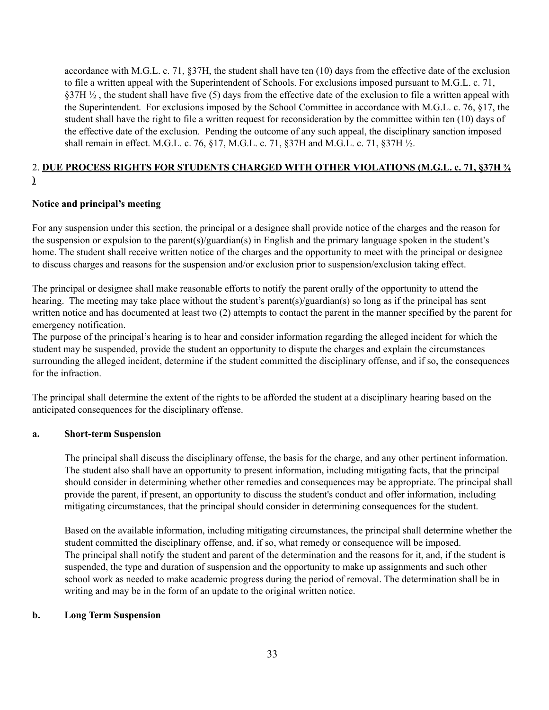accordance with M.G.L. c. 71, §37H, the student shall have ten (10) days from the effective date of the exclusion to file a written appeal with the Superintendent of Schools. For exclusions imposed pursuant to M.G.L. c. 71, §37H  $\frac{1}{2}$ , the student shall have five (5) days from the effective date of the exclusion to file a written appeal with the Superintendent. For exclusions imposed by the School Committee in accordance with M.G.L. c. 76, §17, the student shall have the right to file a written request for reconsideration by the committee within ten (10) days of the effective date of the exclusion. Pending the outcome of any such appeal, the disciplinary sanction imposed shall remain in effect. M.G.L. c. 76, §17, M.G.L. c. 71, §37H and M.G.L. c. 71, §37H ½.

# 2. **DUE PROCESS RIGHTS FOR STUDENTS CHARGED WITH OTHER VIOLATIONS (M.G.L. c. 71, §37H ¾**

#### **)**

#### **Notice and principal's meeting**

For any suspension under this section, the principal or a designee shall provide notice of the charges and the reason for the suspension or expulsion to the parent(s)/guardian(s) in English and the primary language spoken in the student's home. The student shall receive written notice of the charges and the opportunity to meet with the principal or designee to discuss charges and reasons for the suspension and/or exclusion prior to suspension/exclusion taking effect.

The principal or designee shall make reasonable efforts to notify the parent orally of the opportunity to attend the hearing. The meeting may take place without the student's parent(s)/guardian(s) so long as if the principal has sent written notice and has documented at least two (2) attempts to contact the parent in the manner specified by the parent for emergency notification.

The purpose of the principal's hearing is to hear and consider information regarding the alleged incident for which the student may be suspended, provide the student an opportunity to dispute the charges and explain the circumstances surrounding the alleged incident, determine if the student committed the disciplinary offense, and if so, the consequences for the infraction.

The principal shall determine the extent of the rights to be afforded the student at a disciplinary hearing based on the anticipated consequences for the disciplinary offense.

#### **a. Short-term Suspension**

The principal shall discuss the disciplinary offense, the basis for the charge, and any other pertinent information. The student also shall have an opportunity to present information, including mitigating facts, that the principal should consider in determining whether other remedies and consequences may be appropriate. The principal shall provide the parent, if present, an opportunity to discuss the student's conduct and offer information, including mitigating circumstances, that the principal should consider in determining consequences for the student.

Based on the available information, including mitigating circumstances, the principal shall determine whether the student committed the disciplinary offense, and, if so, what remedy or consequence will be imposed. The principal shall notify the student and parent of the determination and the reasons for it, and, if the student is suspended, the type and duration of suspension and the opportunity to make up assignments and such other school work as needed to make academic progress during the period of removal. The determination shall be in writing and may be in the form of an update to the original written notice.

#### **b. Long Term Suspension**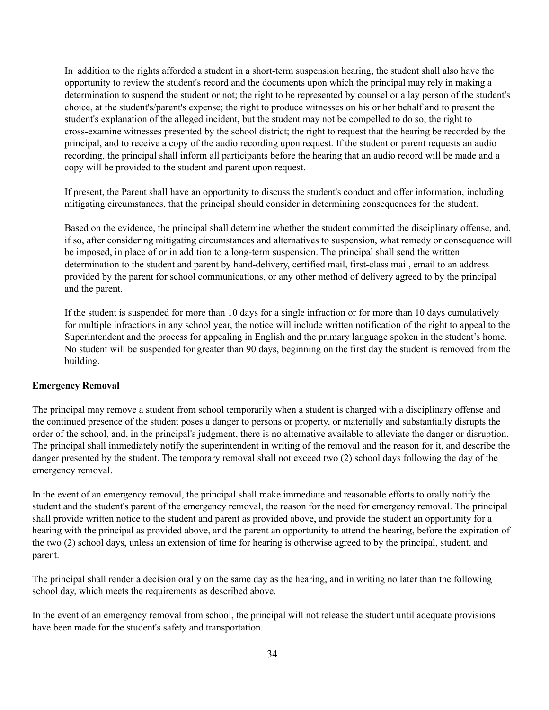In addition to the rights afforded a student in a short-term suspension hearing, the student shall also have the opportunity to review the student's record and the documents upon which the principal may rely in making a determination to suspend the student or not; the right to be represented by counsel or a lay person of the student's choice, at the student's/parent's expense; the right to produce witnesses on his or her behalf and to present the student's explanation of the alleged incident, but the student may not be compelled to do so; the right to cross-examine witnesses presented by the school district; the right to request that the hearing be recorded by the principal, and to receive a copy of the audio recording upon request. If the student or parent requests an audio recording, the principal shall inform all participants before the hearing that an audio record will be made and a copy will be provided to the student and parent upon request.

If present, the Parent shall have an opportunity to discuss the student's conduct and offer information, including mitigating circumstances, that the principal should consider in determining consequences for the student.

Based on the evidence, the principal shall determine whether the student committed the disciplinary offense, and, if so, after considering mitigating circumstances and alternatives to suspension, what remedy or consequence will be imposed, in place of or in addition to a long-term suspension. The principal shall send the written determination to the student and parent by hand-delivery, certified mail, first-class mail, email to an address provided by the parent for school communications, or any other method of delivery agreed to by the principal and the parent.

If the student is suspended for more than 10 days for a single infraction or for more than 10 days cumulatively for multiple infractions in any school year, the notice will include written notification of the right to appeal to the Superintendent and the process for appealing in English and the primary language spoken in the student's home. No student will be suspended for greater than 90 days, beginning on the first day the student is removed from the building.

#### **Emergency Removal**

The principal may remove a student from school temporarily when a student is charged with a disciplinary offense and the continued presence of the student poses a danger to persons or property, or materially and substantially disrupts the order of the school, and, in the principal's judgment, there is no alternative available to alleviate the danger or disruption. The principal shall immediately notify the superintendent in writing of the removal and the reason for it, and describe the danger presented by the student. The temporary removal shall not exceed two (2) school days following the day of the emergency removal.

In the event of an emergency removal, the principal shall make immediate and reasonable efforts to orally notify the student and the student's parent of the emergency removal, the reason for the need for emergency removal. The principal shall provide written notice to the student and parent as provided above, and provide the student an opportunity for a hearing with the principal as provided above, and the parent an opportunity to attend the hearing, before the expiration of the two (2) school days, unless an extension of time for hearing is otherwise agreed to by the principal, student, and parent.

The principal shall render a decision orally on the same day as the hearing, and in writing no later than the following school day, which meets the requirements as described above.

In the event of an emergency removal from school, the principal will not release the student until adequate provisions have been made for the student's safety and transportation.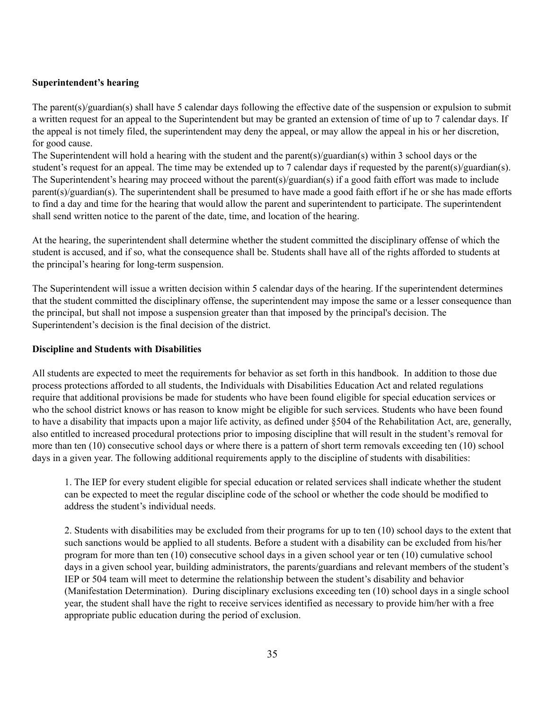#### **Superintendent's hearing**

The parent(s)/guardian(s) shall have 5 calendar days following the effective date of the suspension or expulsion to submit a written request for an appeal to the Superintendent but may be granted an extension of time of up to 7 calendar days. If the appeal is not timely filed, the superintendent may deny the appeal, or may allow the appeal in his or her discretion, for good cause.

The Superintendent will hold a hearing with the student and the parent(s)/guardian(s) within 3 school days or the student's request for an appeal. The time may be extended up to 7 calendar days if requested by the parent(s)/guardian(s). The Superintendent's hearing may proceed without the parent(s)/guardian(s) if a good faith effort was made to include parent(s)/guardian(s). The superintendent shall be presumed to have made a good faith effort if he or she has made efforts to find a day and time for the hearing that would allow the parent and superintendent to participate. The superintendent shall send written notice to the parent of the date, time, and location of the hearing.

At the hearing, the superintendent shall determine whether the student committed the disciplinary offense of which the student is accused, and if so, what the consequence shall be. Students shall have all of the rights afforded to students at the principal's hearing for long-term suspension.

The Superintendent will issue a written decision within 5 calendar days of the hearing. If the superintendent determines that the student committed the disciplinary offense, the superintendent may impose the same or a lesser consequence than the principal, but shall not impose a suspension greater than that imposed by the principal's decision. The Superintendent's decision is the final decision of the district.

#### **Discipline and Students with Disabilities**

All students are expected to meet the requirements for behavior as set forth in this handbook. In addition to those due process protections afforded to all students, the Individuals with Disabilities Education Act and related regulations require that additional provisions be made for students who have been found eligible for special education services or who the school district knows or has reason to know might be eligible for such services. Students who have been found to have a disability that impacts upon a major life activity, as defined under §504 of the Rehabilitation Act, are, generally, also entitled to increased procedural protections prior to imposing discipline that will result in the student's removal for more than ten (10) consecutive school days or where there is a pattern of short term removals exceeding ten (10) school days in a given year. The following additional requirements apply to the discipline of students with disabilities:

1. The IEP for every student eligible for special education or related services shall indicate whether the student can be expected to meet the regular discipline code of the school or whether the code should be modified to address the student's individual needs.

2. Students with disabilities may be excluded from their programs for up to ten (10) school days to the extent that such sanctions would be applied to all students. Before a student with a disability can be excluded from his/her program for more than ten (10) consecutive school days in a given school year or ten (10) cumulative school days in a given school year, building administrators, the parents/guardians and relevant members of the student's IEP or 504 team will meet to determine the relationship between the student's disability and behavior (Manifestation Determination). During disciplinary exclusions exceeding ten (10) school days in a single school year, the student shall have the right to receive services identified as necessary to provide him/her with a free appropriate public education during the period of exclusion.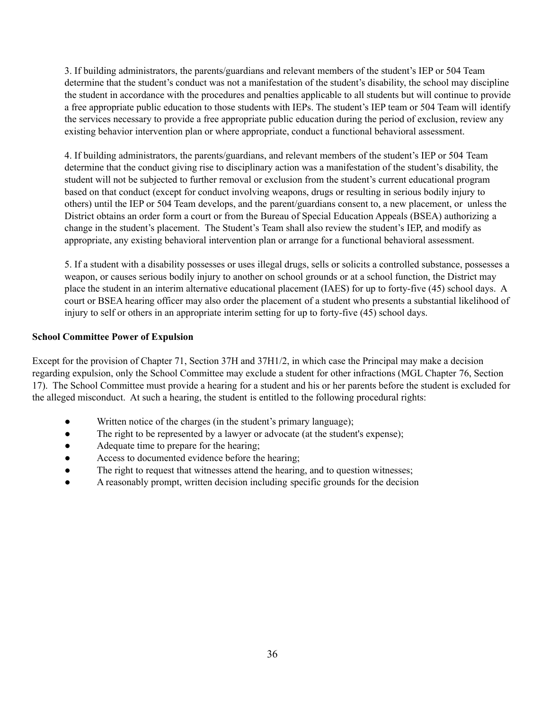3. If building administrators, the parents/guardians and relevant members of the student's IEP or 504 Team determine that the student's conduct was not a manifestation of the student's disability, the school may discipline the student in accordance with the procedures and penalties applicable to all students but will continue to provide a free appropriate public education to those students with IEPs. The student's IEP team or 504 Team will identify the services necessary to provide a free appropriate public education during the period of exclusion, review any existing behavior intervention plan or where appropriate, conduct a functional behavioral assessment.

4. If building administrators, the parents/guardians, and relevant members of the student's IEP or 504 Team determine that the conduct giving rise to disciplinary action was a manifestation of the student's disability, the student will not be subjected to further removal or exclusion from the student's current educational program based on that conduct (except for conduct involving weapons, drugs or resulting in serious bodily injury to others) until the IEP or 504 Team develops, and the parent/guardians consent to, a new placement, or unless the District obtains an order form a court or from the Bureau of Special Education Appeals (BSEA) authorizing a change in the student's placement. The Student's Team shall also review the student's IEP, and modify as appropriate, any existing behavioral intervention plan or arrange for a functional behavioral assessment.

5. If a student with a disability possesses or uses illegal drugs, sells or solicits a controlled substance, possesses a weapon, or causes serious bodily injury to another on school grounds or at a school function, the District may place the student in an interim alternative educational placement (IAES) for up to forty-five (45) school days. A court or BSEA hearing officer may also order the placement of a student who presents a substantial likelihood of injury to self or others in an appropriate interim setting for up to forty-five (45) school days.

#### **School Committee Power of Expulsion**

Except for the provision of Chapter 71, Section 37H and 37H1/2, in which case the Principal may make a decision regarding expulsion, only the School Committee may exclude a student for other infractions (MGL Chapter 76, Section 17). The School Committee must provide a hearing for a student and his or her parents before the student is excluded for the alleged misconduct. At such a hearing, the student is entitled to the following procedural rights:

- Written notice of the charges (in the student's primary language);
- The right to be represented by a lawyer or advocate (at the student's expense);
- Adequate time to prepare for the hearing;
- Access to documented evidence before the hearing;
- The right to request that witnesses attend the hearing, and to question witnesses;
- A reasonably prompt, written decision including specific grounds for the decision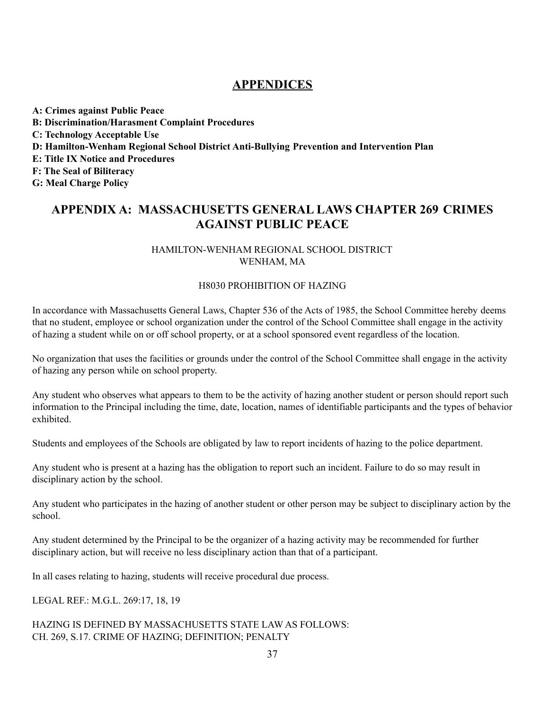# **APPENDICES**

**A: Crimes against Public Peace B: Discrimination/Harasment Complaint Procedures C: Technology Acceptable Use D: Hamilton-Wenham Regional School District Anti-Bullying Prevention and Intervention Plan E: Title IX Notice and Procedures F: The Seal of Biliteracy G: Meal Charge Policy**

# **APPENDIX A: MASSACHUSETTS GENERAL LAWS CHAPTER 269 CRIMES AGAINST PUBLIC PEACE**

### HAMILTON-WENHAM REGIONAL SCHOOL DISTRICT WENHAM, MA

#### H8030 PROHIBITION OF HAZING

In accordance with Massachusetts General Laws, Chapter 536 of the Acts of 1985, the School Committee hereby deems that no student, employee or school organization under the control of the School Committee shall engage in the activity of hazing a student while on or off school property, or at a school sponsored event regardless of the location.

No organization that uses the facilities or grounds under the control of the School Committee shall engage in the activity of hazing any person while on school property.

Any student who observes what appears to them to be the activity of hazing another student or person should report such information to the Principal including the time, date, location, names of identifiable participants and the types of behavior exhibited.

Students and employees of the Schools are obligated by law to report incidents of hazing to the police department.

Any student who is present at a hazing has the obligation to report such an incident. Failure to do so may result in disciplinary action by the school.

Any student who participates in the hazing of another student or other person may be subject to disciplinary action by the school.

Any student determined by the Principal to be the organizer of a hazing activity may be recommended for further disciplinary action, but will receive no less disciplinary action than that of a participant.

In all cases relating to hazing, students will receive procedural due process.

LEGAL REF.: M.G.L. 269:17, 18, 19

HAZING IS DEFINED BY MASSACHUSETTS STATE LAW AS FOLLOWS: CH. 269, S.17. CRIME OF HAZING; DEFINITION; PENALTY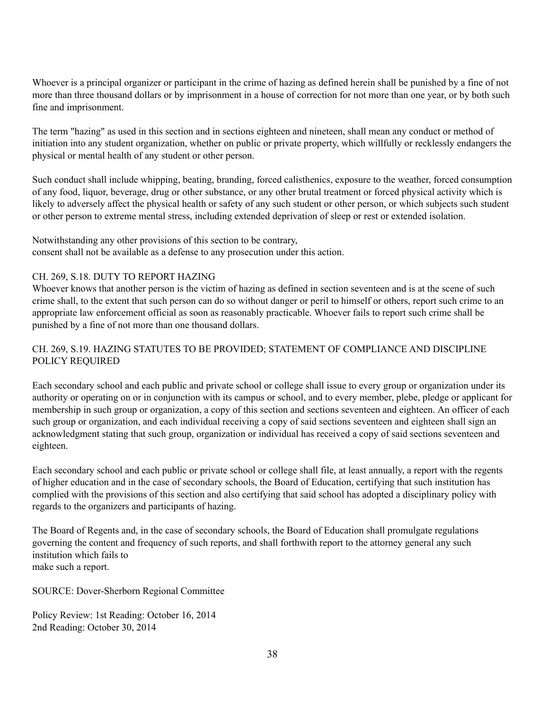Whoever is a principal organizer or participant in the crime of hazing as defined herein shall be punished by a fine of not more than three thousand dollars or by imprisonment in a house of correction for not more than one year, or by both such fine and imprisonment.

The term "hazing" as used in this section and in sections eighteen and nineteen, shall mean any conduct or method of initiation into any student organization, whether on public or private property, which willfully or recklessly endangers the physical or mental health of any student or other person.

Such conduct shall include whipping, beating, branding, forced calisthenics, exposure to the weather, forced consumption of any food, liquor, beverage, drug or other substance, or any other brutal treatment or forced physical activity which is likely to adversely affect the physical health or safety of any such student or other person, or which subjects such student or other person to extreme mental stress, including extended deprivation of sleep or rest or extended isolation.

Notwithstanding any other provisions of this section to be contrary, consent shall not be available as a defense to any prosecution under this action.

### CH. 269, S.18. DUTY TO REPORT HAZING

Whoever knows that another person is the victim of hazing as defined in section seventeen and is at the scene of such crime shall, to the extent that such person can do so without danger or peril to himself or others, report such crime to an appropriate law enforcement official as soon as reasonably practicable. Whoever fails to report such crime shall be punished by a fine of not more than one thousand dollars.

### CH. 269, S.19. HAZING STATUTES TO BE PROVIDED; STATEMENT OF COMPLIANCE AND DISCIPLINE POLICY REQUIRED

Each secondary school and each public and private school or college shall issue to every group or organization under its authority or operating on or in conjunction with its campus or school, and to every member, plebe, pledge or applicant for membership in such group or organization, a copy of this section and sections seventeen and eighteen. An officer of each such group or organization, and each individual receiving a copy of said sections seventeen and eighteen shall sign an acknowledgment stating that such group, organization or individual has received a copy of said sections seventeen and eighteen.

Each secondary school and each public or private school or college shall file, at least annually, a report with the regents of higher education and in the case of secondary schools, the Board of Education, certifying that such institution has complied with the provisions of this section and also certifying that said school has adopted a disciplinary policy with regards to the organizers and participants of hazing.

The Board of Regents and, in the case of secondary schools, the Board of Education shall promulgate regulations governing the content and frequency of such reports, and shall forthwith report to the attorney general any such institution which fails to make such a report.

SOURCE: Dover-Sherborn Regional Committee

Policy Review: 1st Reading: October 16, 2014 2nd Reading: October 30, 2014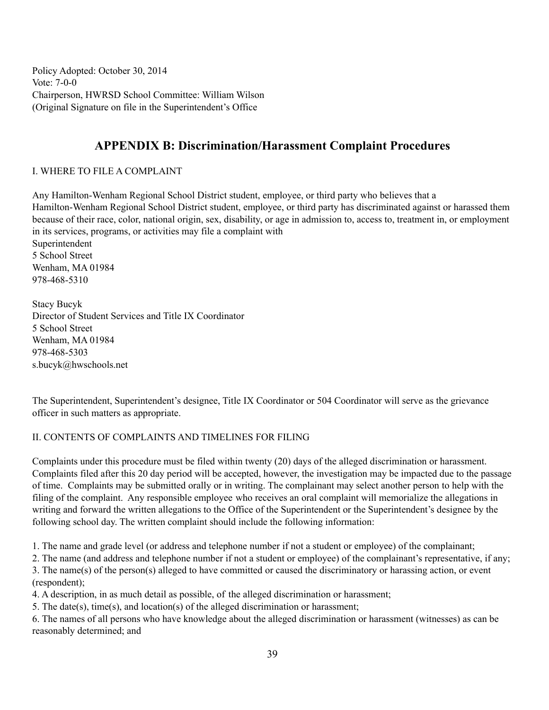Policy Adopted: October 30, 2014 Vote: 7-0-0 Chairperson, HWRSD School Committee: William Wilson (Original Signature on file in the Superintendent's Office

# **APPENDIX B: Discrimination/Harassment Complaint Procedures**

### I. WHERE TO FILE A COMPLAINT

Any Hamilton-Wenham Regional School District student, employee, or third party who believes that a Hamilton-Wenham Regional School District student, employee, or third party has discriminated against or harassed them because of their race, color, national origin, sex, disability, or age in admission to, access to, treatment in, or employment in its services, programs, or activities may file a complaint with Superintendent 5 School Street Wenham, MA 01984 978-468-5310

Stacy Bucyk Director of Student Services and Title IX Coordinator 5 School Street Wenham, MA 01984 978-468-5303 s.bucyk@hwschools.net

The Superintendent, Superintendent's designee, Title IX Coordinator or 504 Coordinator will serve as the grievance officer in such matters as appropriate.

### II. CONTENTS OF COMPLAINTS AND TIMELINES FOR FILING

Complaints under this procedure must be filed within twenty (20) days of the alleged discrimination or harassment. Complaints filed after this 20 day period will be accepted, however, the investigation may be impacted due to the passage of time. Complaints may be submitted orally or in writing. The complainant may select another person to help with the filing of the complaint. Any responsible employee who receives an oral complaint will memorialize the allegations in writing and forward the written allegations to the Office of the Superintendent or the Superintendent's designee by the following school day. The written complaint should include the following information:

1. The name and grade level (or address and telephone number if not a student or employee) of the complainant;

2. The name (and address and telephone number if not a student or employee) of the complainant's representative, if any; 3. The name(s) of the person(s) alleged to have committed or caused the discriminatory or harassing action, or event (respondent);

4. A description, in as much detail as possible, of the alleged discrimination or harassment;

5. The date(s), time(s), and location(s) of the alleged discrimination or harassment;

6. The names of all persons who have knowledge about the alleged discrimination or harassment (witnesses) as can be reasonably determined; and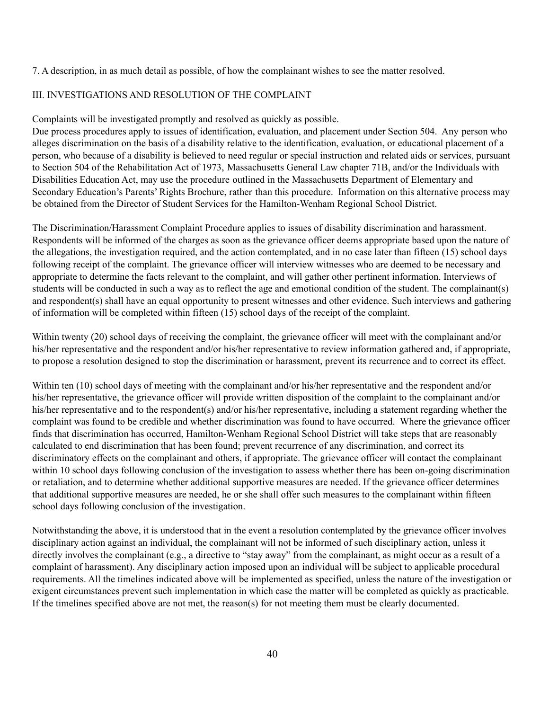7. A description, in as much detail as possible, of how the complainant wishes to see the matter resolved.

#### III. INVESTIGATIONS AND RESOLUTION OF THE COMPLAINT

Complaints will be investigated promptly and resolved as quickly as possible.

Due process procedures apply to issues of identification, evaluation, and placement under Section 504. Any person who alleges discrimination on the basis of a disability relative to the identification, evaluation, or educational placement of a person, who because of a disability is believed to need regular or special instruction and related aids or services, pursuant to Section 504 of the Rehabilitation Act of 1973, Massachusetts General Law chapter 71B, and/or the Individuals with Disabilities Education Act, may use the procedure outlined in the Massachusetts Department of Elementary and Secondary Education's Parents' Rights Brochure, rather than this procedure. Information on this alternative process may be obtained from the Director of Student Services for the Hamilton-Wenham Regional School District.

The Discrimination/Harassment Complaint Procedure applies to issues of disability discrimination and harassment. Respondents will be informed of the charges as soon as the grievance officer deems appropriate based upon the nature of the allegations, the investigation required, and the action contemplated, and in no case later than fifteen (15) school days following receipt of the complaint. The grievance officer will interview witnesses who are deemed to be necessary and appropriate to determine the facts relevant to the complaint, and will gather other pertinent information. Interviews of students will be conducted in such a way as to reflect the age and emotional condition of the student. The complainant(s) and respondent(s) shall have an equal opportunity to present witnesses and other evidence. Such interviews and gathering of information will be completed within fifteen (15) school days of the receipt of the complaint.

Within twenty (20) school days of receiving the complaint, the grievance officer will meet with the complainant and/or his/her representative and the respondent and/or his/her representative to review information gathered and, if appropriate, to propose a resolution designed to stop the discrimination or harassment, prevent its recurrence and to correct its effect.

Within ten (10) school days of meeting with the complainant and/or his/her representative and the respondent and/or his/her representative, the grievance officer will provide written disposition of the complaint to the complainant and/or his/her representative and to the respondent(s) and/or his/her representative, including a statement regarding whether the complaint was found to be credible and whether discrimination was found to have occurred. Where the grievance officer finds that discrimination has occurred, Hamilton-Wenham Regional School District will take steps that are reasonably calculated to end discrimination that has been found; prevent recurrence of any discrimination, and correct its discriminatory effects on the complainant and others, if appropriate. The grievance officer will contact the complainant within 10 school days following conclusion of the investigation to assess whether there has been on-going discrimination or retaliation, and to determine whether additional supportive measures are needed. If the grievance officer determines that additional supportive measures are needed, he or she shall offer such measures to the complainant within fifteen school days following conclusion of the investigation.

Notwithstanding the above, it is understood that in the event a resolution contemplated by the grievance officer involves disciplinary action against an individual, the complainant will not be informed of such disciplinary action, unless it directly involves the complainant (e.g., a directive to "stay away" from the complainant, as might occur as a result of a complaint of harassment). Any disciplinary action imposed upon an individual will be subject to applicable procedural requirements. All the timelines indicated above will be implemented as specified, unless the nature of the investigation or exigent circumstances prevent such implementation in which case the matter will be completed as quickly as practicable. If the timelines specified above are not met, the reason(s) for not meeting them must be clearly documented.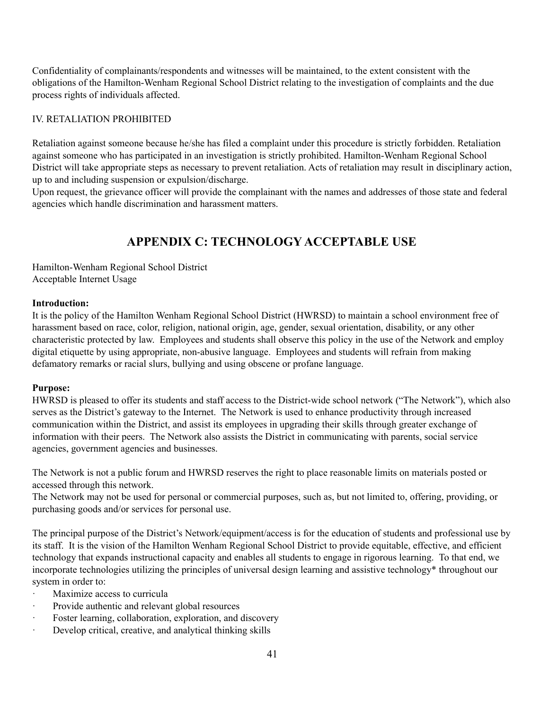Confidentiality of complainants/respondents and witnesses will be maintained, to the extent consistent with the obligations of the Hamilton-Wenham Regional School District relating to the investigation of complaints and the due process rights of individuals affected.

### IV. RETALIATION PROHIBITED

Retaliation against someone because he/she has filed a complaint under this procedure is strictly forbidden. Retaliation against someone who has participated in an investigation is strictly prohibited. Hamilton-Wenham Regional School District will take appropriate steps as necessary to prevent retaliation. Acts of retaliation may result in disciplinary action, up to and including suspension or expulsion/discharge.

Upon request, the grievance officer will provide the complainant with the names and addresses of those state and federal agencies which handle discrimination and harassment matters.

# **APPENDIX C: TECHNOLOGY ACCEPTABLE USE**

Hamilton-Wenham Regional School District Acceptable Internet Usage

#### **Introduction:**

It is the policy of the Hamilton Wenham Regional School District (HWRSD) to maintain a school environment free of harassment based on race, color, religion, national origin, age, gender, sexual orientation, disability, or any other characteristic protected by law. Employees and students shall observe this policy in the use of the Network and employ digital etiquette by using appropriate, non-abusive language. Employees and students will refrain from making defamatory remarks or racial slurs, bullying and using obscene or profane language.

### **Purpose:**

HWRSD is pleased to offer its students and staff access to the District-wide school network ("The Network"), which also serves as the District's gateway to the Internet. The Network is used to enhance productivity through increased communication within the District, and assist its employees in upgrading their skills through greater exchange of information with their peers. The Network also assists the District in communicating with parents, social service agencies, government agencies and businesses.

The Network is not a public forum and HWRSD reserves the right to place reasonable limits on materials posted or accessed through this network.

The Network may not be used for personal or commercial purposes, such as, but not limited to, offering, providing, or purchasing goods and/or services for personal use.

The principal purpose of the District's Network/equipment/access is for the education of students and professional use by its staff. It is the vision of the Hamilton Wenham Regional School District to provide equitable, effective, and efficient technology that expands instructional capacity and enables all students to engage in rigorous learning. To that end, we incorporate technologies utilizing the principles of universal design learning and assistive technology\* throughout our system in order to:

- Maximize access to curricula
- · Provide authentic and relevant global resources
- · Foster learning, collaboration, exploration, and discovery
- · Develop critical, creative, and analytical thinking skills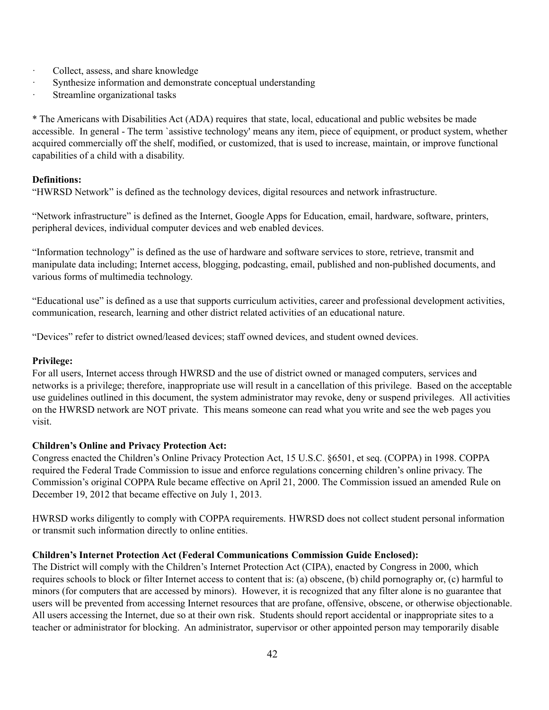- · Collect, assess, and share knowledge
- · Synthesize information and demonstrate conceptual understanding
- · Streamline organizational tasks

\* The Americans with Disabilities Act (ADA) requires that state, local, educational and public websites be made accessible. In general - The term `assistive technology' means any item, piece of equipment, or product system, whether acquired commercially off the shelf, modified, or customized, that is used to increase, maintain, or improve functional capabilities of a child with a disability.

#### **Definitions:**

"HWRSD Network" is defined as the technology devices, digital resources and network infrastructure.

"Network infrastructure" is defined as the Internet, Google Apps for Education, email, hardware, software, printers, peripheral devices, individual computer devices and web enabled devices.

"Information technology" is defined as the use of hardware and software services to store, retrieve, transmit and manipulate data including; Internet access, blogging, podcasting, email, published and non-published documents, and various forms of multimedia technology.

"Educational use" is defined as a use that supports curriculum activities, career and professional development activities, communication, research, learning and other district related activities of an educational nature.

"Devices" refer to district owned/leased devices; staff owned devices, and student owned devices.

#### **Privilege:**

For all users, Internet access through HWRSD and the use of district owned or managed computers, services and networks is a privilege; therefore, inappropriate use will result in a cancellation of this privilege. Based on the acceptable use guidelines outlined in this document, the system administrator may revoke, deny or suspend privileges. All activities on the HWRSD network are NOT private. This means someone can read what you write and see the web pages you visit.

#### **Children's Online and Privacy Protection Act:**

Congress enacted the Children's Online Privacy Protection Act, 15 U.S.C. §6501, et seq. (COPPA) in 1998. COPPA required the Federal Trade Commission to issue and enforce regulations concerning children's online privacy. The Commission's original COPPA Rule became effective on April 21, 2000. The Commission issued an amended Rule on December 19, 2012 that became effective on July 1, 2013.

HWRSD works diligently to comply with COPPA requirements. HWRSD does not collect student personal information or transmit such information directly to online entities.

#### **Children's Internet Protection Act (Federal Communications Commission Guide Enclosed):**

The District will comply with the Children's Internet Protection Act (CIPA), enacted by Congress in 2000, which requires schools to block or filter Internet access to content that is: (a) obscene, (b) child pornography or, (c) harmful to minors (for computers that are accessed by minors). However, it is recognized that any filter alone is no guarantee that users will be prevented from accessing Internet resources that are profane, offensive, obscene, or otherwise objectionable. All users accessing the Internet, due so at their own risk. Students should report accidental or inappropriate sites to a teacher or administrator for blocking. An administrator, supervisor or other appointed person may temporarily disable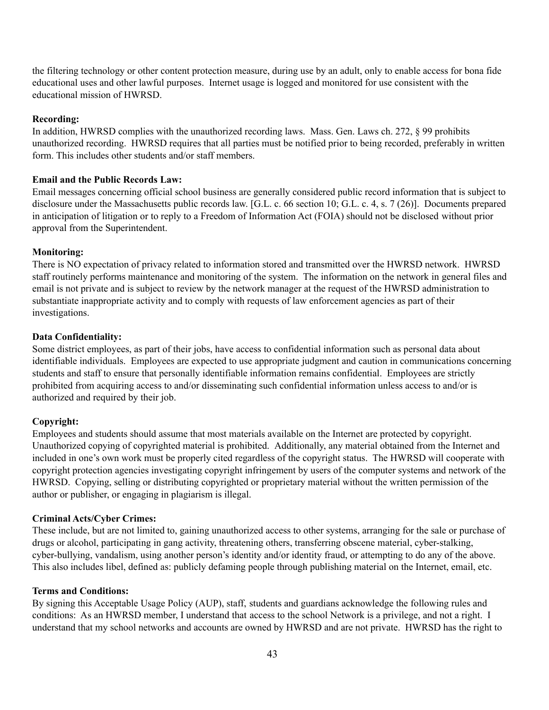the filtering technology or other content protection measure, during use by an adult, only to enable access for bona fide educational uses and other lawful purposes. Internet usage is logged and monitored for use consistent with the educational mission of HWRSD.

#### **Recording:**

In addition, HWRSD complies with the unauthorized recording laws. Mass. Gen. Laws ch. 272, § 99 prohibits unauthorized recording. HWRSD requires that all parties must be notified prior to being recorded, preferably in written form. This includes other students and/or staff members.

#### **Email and the Public Records Law:**

Email messages concerning official school business are generally considered public record information that is subject to disclosure under the Massachusetts public records law. [G.L. c. 66 section 10; G.L. c. 4, s. 7 (26)]. Documents prepared in anticipation of litigation or to reply to a Freedom of Information Act (FOIA) should not be disclosed without prior approval from the Superintendent.

#### **Monitoring:**

There is NO expectation of privacy related to information stored and transmitted over the HWRSD network. HWRSD staff routinely performs maintenance and monitoring of the system. The information on the network in general files and email is not private and is subject to review by the network manager at the request of the HWRSD administration to substantiate inappropriate activity and to comply with requests of law enforcement agencies as part of their investigations.

#### **Data Confidentiality:**

Some district employees, as part of their jobs, have access to confidential information such as personal data about identifiable individuals. Employees are expected to use appropriate judgment and caution in communications concerning students and staff to ensure that personally identifiable information remains confidential. Employees are strictly prohibited from acquiring access to and/or disseminating such confidential information unless access to and/or is authorized and required by their job.

#### **Copyright:**

Employees and students should assume that most materials available on the Internet are protected by copyright. Unauthorized copying of copyrighted material is prohibited. Additionally, any material obtained from the Internet and included in one's own work must be properly cited regardless of the copyright status. The HWRSD will cooperate with copyright protection agencies investigating copyright infringement by users of the computer systems and network of the HWRSD. Copying, selling or distributing copyrighted or proprietary material without the written permission of the author or publisher, or engaging in plagiarism is illegal.

#### **Criminal Acts/Cyber Crimes:**

These include, but are not limited to, gaining unauthorized access to other systems, arranging for the sale or purchase of drugs or alcohol, participating in gang activity, threatening others, transferring obscene material, cyber-stalking, cyber-bullying, vandalism, using another person's identity and/or identity fraud, or attempting to do any of the above. This also includes libel, defined as: publicly defaming people through publishing material on the Internet, email, etc.

#### **Terms and Conditions:**

By signing this Acceptable Usage Policy (AUP), staff, students and guardians acknowledge the following rules and conditions: As an HWRSD member, I understand that access to the school Network is a privilege, and not a right. I understand that my school networks and accounts are owned by HWRSD and are not private. HWRSD has the right to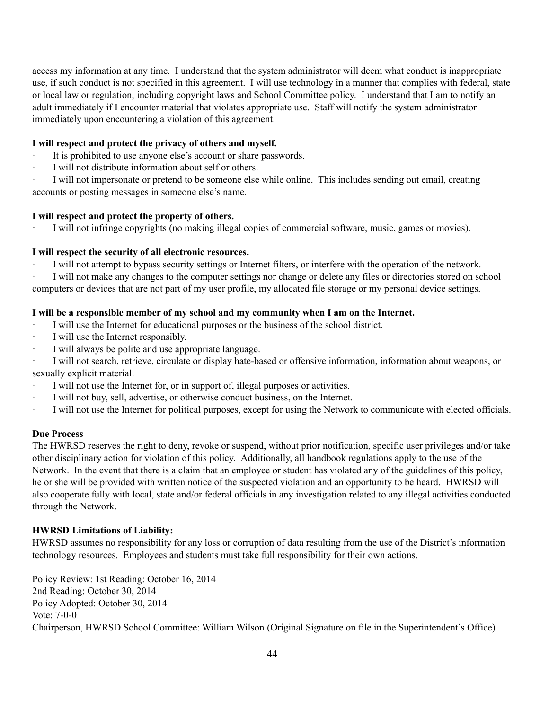access my information at any time. I understand that the system administrator will deem what conduct is inappropriate use, if such conduct is not specified in this agreement. I will use technology in a manner that complies with federal, state or local law or regulation, including copyright laws and School Committee policy. I understand that I am to notify an adult immediately if I encounter material that violates appropriate use. Staff will notify the system administrator immediately upon encountering a violation of this agreement.

#### **I will respect and protect the privacy of others and myself.**

- It is prohibited to use anyone else's account or share passwords.
- · I will not distribute information about self or others.

· I will not impersonate or pretend to be someone else while online. This includes sending out email, creating accounts or posting messages in someone else's name.

#### **I will respect and protect the property of others.**

· I will not infringe copyrights (no making illegal copies of commercial software, music, games or movies).

#### **I will respect the security of all electronic resources.**

· I will not attempt to bypass security settings or Internet filters, or interfere with the operation of the network.

· I will not make any changes to the computer settings nor change or delete any files or directories stored on school computers or devices that are not part of my user profile, my allocated file storage or my personal device settings.

#### **I will be a responsible member of my school and my community when I am on the Internet.**

- I will use the Internet for educational purposes or the business of the school district.
- · I will use the Internet responsibly.
- I will always be polite and use appropriate language.
- · I will not search, retrieve, circulate or display hate-based or offensive information, information about weapons, or sexually explicit material.
- I will not use the Internet for, or in support of, illegal purposes or activities.
- I will not buy, sell, advertise, or otherwise conduct business, on the Internet.
- · I will not use the Internet for political purposes, except for using the Network to communicate with elected officials.

#### **Due Process**

The HWRSD reserves the right to deny, revoke or suspend, without prior notification, specific user privileges and/or take other disciplinary action for violation of this policy. Additionally, all handbook regulations apply to the use of the Network. In the event that there is a claim that an employee or student has violated any of the guidelines of this policy, he or she will be provided with written notice of the suspected violation and an opportunity to be heard. HWRSD will also cooperate fully with local, state and/or federal officials in any investigation related to any illegal activities conducted through the Network.

### **HWRSD Limitations of Liability:**

HWRSD assumes no responsibility for any loss or corruption of data resulting from the use of the District's information technology resources. Employees and students must take full responsibility for their own actions.

Policy Review: 1st Reading: October 16, 2014 2nd Reading: October 30, 2014 Policy Adopted: October 30, 2014 Vote: 7-0-0 Chairperson, HWRSD School Committee: William Wilson (Original Signature on file in the Superintendent's Office)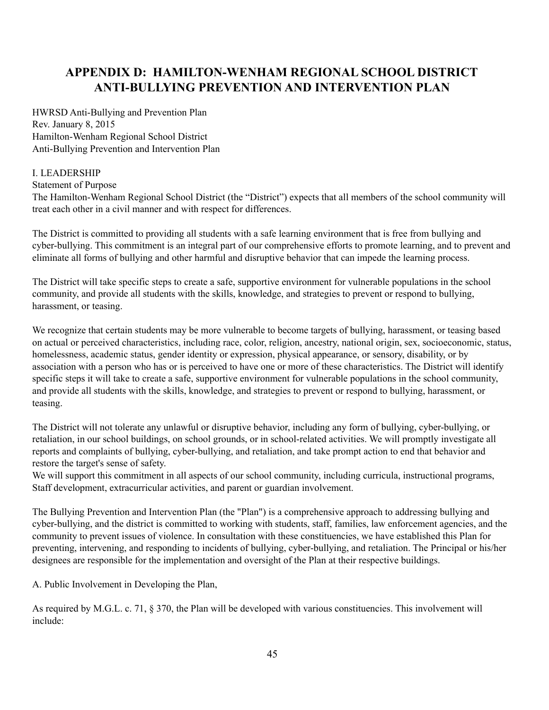# **APPENDIX D: HAMILTON-WENHAM REGIONAL SCHOOL DISTRICT ANTI-BULLYING PREVENTION AND INTERVENTION PLAN**

HWRSD Anti-Bullying and Prevention Plan Rev. January 8, 2015 Hamilton-Wenham Regional School District Anti-Bullying Prevention and Intervention Plan

### I. LEADERSHIP

Statement of Purpose

The Hamilton-Wenham Regional School District (the "District") expects that all members of the school community will treat each other in a civil manner and with respect for differences.

The District is committed to providing all students with a safe learning environment that is free from bullying and cyber-bullying. This commitment is an integral part of our comprehensive efforts to promote learning, and to prevent and eliminate all forms of bullying and other harmful and disruptive behavior that can impede the learning process.

The District will take specific steps to create a safe, supportive environment for vulnerable populations in the school community, and provide all students with the skills, knowledge, and strategies to prevent or respond to bullying, harassment, or teasing.

We recognize that certain students may be more vulnerable to become targets of bullying, harassment, or teasing based on actual or perceived characteristics, including race, color, religion, ancestry, national origin, sex, socioeconomic, status, homelessness, academic status, gender identity or expression, physical appearance, or sensory, disability, or by association with a person who has or is perceived to have one or more of these characteristics. The District will identify specific steps it will take to create a safe, supportive environment for vulnerable populations in the school community, and provide all students with the skills, knowledge, and strategies to prevent or respond to bullying, harassment, or teasing.

The District will not tolerate any unlawful or disruptive behavior, including any form of bullying, cyber-bullying, or retaliation, in our school buildings, on school grounds, or in school-related activities. We will promptly investigate all reports and complaints of bullying, cyber-bullying, and retaliation, and take prompt action to end that behavior and restore the target's sense of safety.

We will support this commitment in all aspects of our school community, including curricula, instructional programs, Staff development, extracurricular activities, and parent or guardian involvement.

The Bullying Prevention and Intervention Plan (the "Plan") is a comprehensive approach to addressing bullying and cyber-bullying, and the district is committed to working with students, staff, families, law enforcement agencies, and the community to prevent issues of violence. In consultation with these constituencies, we have established this Plan for preventing, intervening, and responding to incidents of bullying, cyber-bullying, and retaliation. The Principal or his/her designees are responsible for the implementation and oversight of the Plan at their respective buildings.

A. Public Involvement in Developing the Plan,

As required by M.G.L. c. 71, § 370, the Plan will be developed with various constituencies. This involvement will include: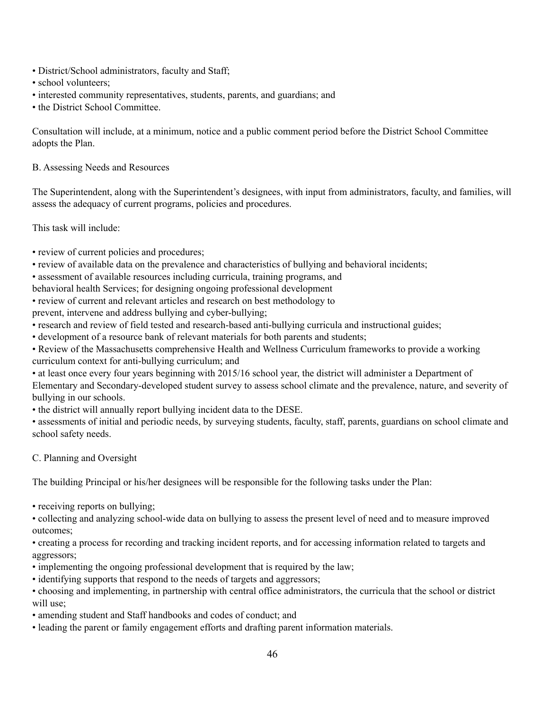- District/School administrators, faculty and Staff;
- school volunteers:
- interested community representatives, students, parents, and guardians; and
- the District School Committee.

Consultation will include, at a minimum, notice and a public comment period before the District School Committee adopts the Plan.

B. Assessing Needs and Resources

The Superintendent, along with the Superintendent's designees, with input from administrators, faculty, and families, will assess the adequacy of current programs, policies and procedures.

This task will include:

- review of current policies and procedures;
- review of available data on the prevalence and characteristics of bullying and behavioral incidents;
- assessment of available resources including curricula, training programs, and

behavioral health Services; for designing ongoing professional development

• review of current and relevant articles and research on best methodology to

prevent, intervene and address bullying and cyber-bullying;

- research and review of field tested and research-based anti-bullying curricula and instructional guides;
- development of a resource bank of relevant materials for both parents and students;
- Review of the Massachusetts comprehensive Health and Wellness Curriculum frameworks to provide a working curriculum context for anti-bullying curriculum; and
- at least once every four years beginning with 2015/16 school year, the district will administer a Department of Elementary and Secondary-developed student survey to assess school climate and the prevalence, nature, and severity of bullying in our schools.

• the district will annually report bullying incident data to the DESE.

• assessments of initial and periodic needs, by surveying students, faculty, staff, parents, guardians on school climate and school safety needs.

C. Planning and Oversight

The building Principal or his/her designees will be responsible for the following tasks under the Plan:

• receiving reports on bullying;

• collecting and analyzing school-wide data on bullying to assess the present level of need and to measure improved outcomes;

• creating a process for recording and tracking incident reports, and for accessing information related to targets and aggressors;

- implementing the ongoing professional development that is required by the law;
- identifying supports that respond to the needs of targets and aggressors;

• choosing and implementing, in partnership with central office administrators, the curricula that the school or district will use;

- amending student and Staff handbooks and codes of conduct; and
- leading the parent or family engagement efforts and drafting parent information materials.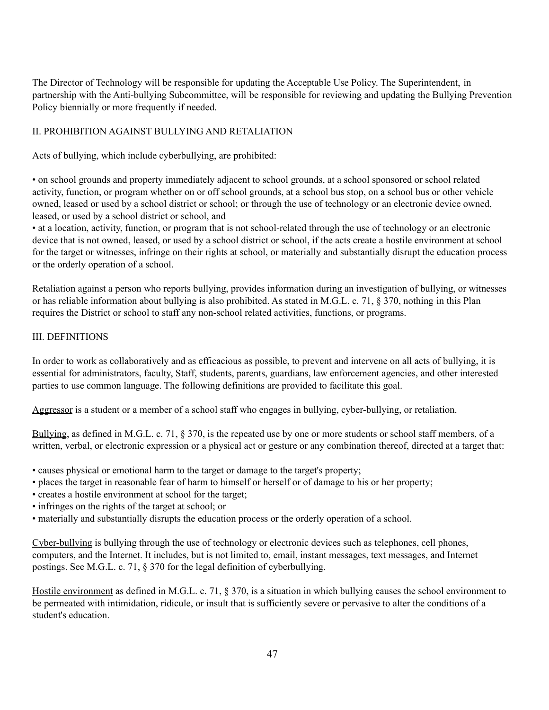The Director of Technology will be responsible for updating the Acceptable Use Policy. The Superintendent, in partnership with the Anti-bullying Subcommittee, will be responsible for reviewing and updating the Bullying Prevention Policy biennially or more frequently if needed.

### II. PROHIBITION AGAINST BULLYING AND RETALIATION

Acts of bullying, which include cyberbullying, are prohibited:

• on school grounds and property immediately adjacent to school grounds, at a school sponsored or school related activity, function, or program whether on or off school grounds, at a school bus stop, on a school bus or other vehicle owned, leased or used by a school district or school; or through the use of technology or an electronic device owned, leased, or used by a school district or school, and

• at a location, activity, function, or program that is not school-related through the use of technology or an electronic device that is not owned, leased, or used by a school district or school, if the acts create a hostile environment at school for the target or witnesses, infringe on their rights at school, or materially and substantially disrupt the education process or the orderly operation of a school.

Retaliation against a person who reports bullying, provides information during an investigation of bullying, or witnesses or has reliable information about bullying is also prohibited. As stated in M.G.L. c. 71, § 370, nothing in this Plan requires the District or school to staff any non-school related activities, functions, or programs.

#### III. DEFINITIONS

In order to work as collaboratively and as efficacious as possible, to prevent and intervene on all acts of bullying, it is essential for administrators, faculty, Staff, students, parents, guardians, law enforcement agencies, and other interested parties to use common language. The following definitions are provided to facilitate this goal.

Aggressor is a student or a member of a school staff who engages in bullying, cyber-bullying, or retaliation.

Bullying, as defined in M.G.L. c. 71, § 370, is the repeated use by one or more students or school staff members, of a written, verbal, or electronic expression or a physical act or gesture or any combination thereof, directed at a target that:

- causes physical or emotional harm to the target or damage to the target's property;
- places the target in reasonable fear of harm to himself or herself or of damage to his or her property;
- creates a hostile environment at school for the target;
- infringes on the rights of the target at school; or
- materially and substantially disrupts the education process or the orderly operation of a school.

Cyber-bullying is bullying through the use of technology or electronic devices such as telephones, cell phones, computers, and the Internet. It includes, but is not limited to, email, instant messages, text messages, and Internet postings. See M.G.L. c. 71, § 370 for the legal definition of cyberbullying.

Hostile environment as defined in M.G.L. c. 71, § 370, is a situation in which bullying causes the school environment to be permeated with intimidation, ridicule, or insult that is sufficiently severe or pervasive to alter the conditions of a student's education.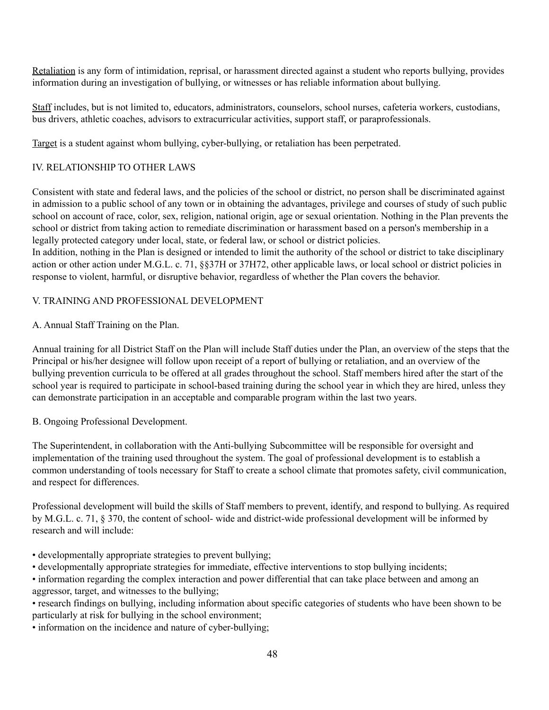Retaliation is any form of intimidation, reprisal, or harassment directed against a student who reports bullying, provides information during an investigation of bullying, or witnesses or has reliable information about bullying.

Staff includes, but is not limited to, educators, administrators, counselors, school nurses, cafeteria workers, custodians, bus drivers, athletic coaches, advisors to extracurricular activities, support staff, or paraprofessionals.

Target is a student against whom bullying, cyber-bullying, or retaliation has been perpetrated.

### IV. RELATIONSHIP TO OTHER LAWS

Consistent with state and federal laws, and the policies of the school or district, no person shall be discriminated against in admission to a public school of any town or in obtaining the advantages, privilege and courses of study of such public school on account of race, color, sex, religion, national origin, age or sexual orientation. Nothing in the Plan prevents the school or district from taking action to remediate discrimination or harassment based on a person's membership in a legally protected category under local, state, or federal law, or school or district policies.

In addition, nothing in the Plan is designed or intended to limit the authority of the school or district to take disciplinary action or other action under M.G.L. c. 71, §§37H or 37H72, other applicable laws, or local school or district policies in response to violent, harmful, or disruptive behavior, regardless of whether the Plan covers the behavior.

### V. TRAINING AND PROFESSIONAL DEVELOPMENT

A. Annual Staff Training on the Plan.

Annual training for all District Staff on the Plan will include Staff duties under the Plan, an overview of the steps that the Principal or his/her designee will follow upon receipt of a report of bullying or retaliation, and an overview of the bullying prevention curricula to be offered at all grades throughout the school. Staff members hired after the start of the school year is required to participate in school-based training during the school year in which they are hired, unless they can demonstrate participation in an acceptable and comparable program within the last two years.

### B. Ongoing Professional Development.

The Superintendent, in collaboration with the Anti-bullying Subcommittee will be responsible for oversight and implementation of the training used throughout the system. The goal of professional development is to establish a common understanding of tools necessary for Staff to create a school climate that promotes safety, civil communication, and respect for differences.

Professional development will build the skills of Staff members to prevent, identify, and respond to bullying. As required by M.G.L. c. 71, § 370, the content of school- wide and district-wide professional development will be informed by research and will include:

- developmentally appropriate strategies to prevent bullying;
- developmentally appropriate strategies for immediate, effective interventions to stop bullying incidents;
- information regarding the complex interaction and power differential that can take place between and among an aggressor, target, and witnesses to the bullying;
- research findings on bullying, including information about specific categories of students who have been shown to be particularly at risk for bullying in the school environment;
- information on the incidence and nature of cyber-bullying;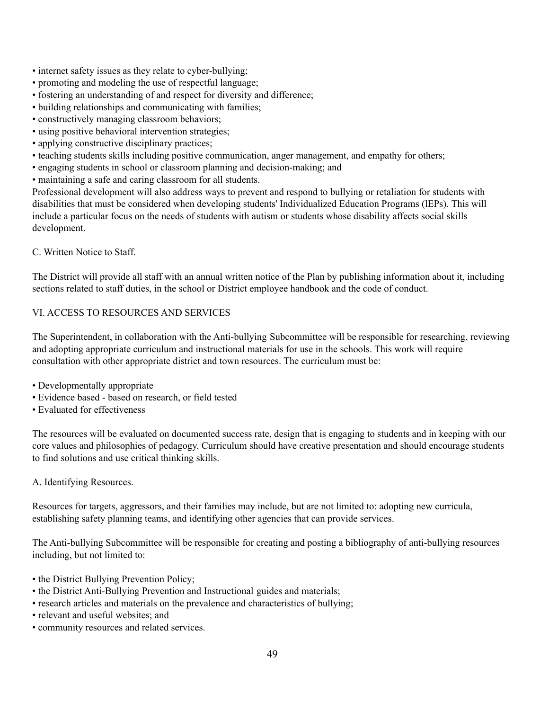- internet safety issues as they relate to cyber-bullying;
- promoting and modeling the use of respectful language;
- fostering an understanding of and respect for diversity and difference;
- building relationships and communicating with families;
- constructively managing classroom behaviors;
- using positive behavioral intervention strategies;
- applying constructive disciplinary practices;
- teaching students skills including positive communication, anger management, and empathy for others;
- engaging students in school or classroom planning and decision-making; and
- maintaining a safe and caring classroom for all students.

Professional development will also address ways to prevent and respond to bullying or retaliation for students with disabilities that must be considered when developing students' Individualized Education Programs (lEPs). This will include a particular focus on the needs of students with autism or students whose disability affects social skills development.

C. Written Notice to Staff.

The District will provide all staff with an annual written notice of the Plan by publishing information about it, including sections related to staff duties, in the school or District employee handbook and the code of conduct.

### VI. ACCESS TO RESOURCES AND SERVICES

The Superintendent, in collaboration with the Anti-bullying Subcommittee will be responsible for researching, reviewing and adopting appropriate curriculum and instructional materials for use in the schools. This work will require consultation with other appropriate district and town resources. The curriculum must be:

- Developmentally appropriate
- Evidence based based on research, or field tested
- Evaluated for effectiveness

The resources will be evaluated on documented success rate, design that is engaging to students and in keeping with our core values and philosophies of pedagogy. Curriculum should have creative presentation and should encourage students to find solutions and use critical thinking skills.

A. Identifying Resources.

Resources for targets, aggressors, and their families may include, but are not limited to: adopting new curricula, establishing safety planning teams, and identifying other agencies that can provide services.

The Anti-bullying Subcommittee will be responsible for creating and posting a bibliography of anti-bullying resources including, but not limited to:

- the District Bullying Prevention Policy;
- the District Anti-Bullying Prevention and Instructional guides and materials;
- research articles and materials on the prevalence and characteristics of bullying;
- relevant and useful websites; and
- community resources and related services.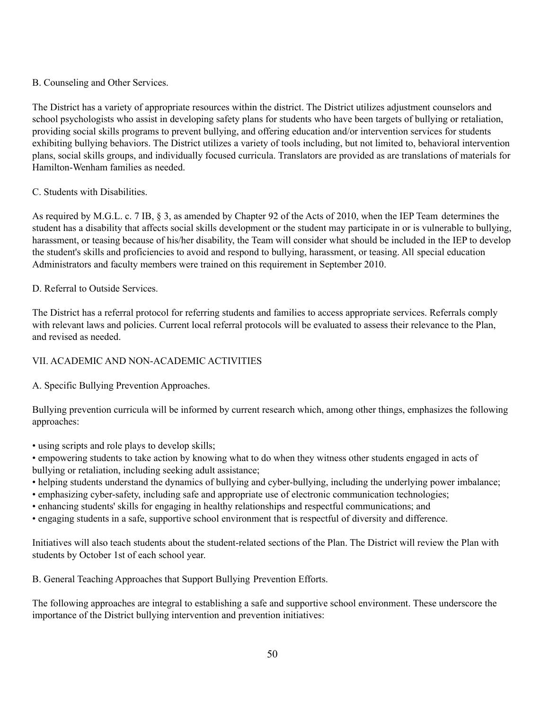### B. Counseling and Other Services.

The District has a variety of appropriate resources within the district. The District utilizes adjustment counselors and school psychologists who assist in developing safety plans for students who have been targets of bullying or retaliation, providing social skills programs to prevent bullying, and offering education and/or intervention services for students exhibiting bullying behaviors. The District utilizes a variety of tools including, but not limited to, behavioral intervention plans, social skills groups, and individually focused curricula. Translators are provided as are translations of materials for Hamilton-Wenham families as needed.

### C. Students with Disabilities.

As required by M.G.L. c. 7 IB, § 3, as amended by Chapter 92 of the Acts of 2010, when the IEP Team determines the student has a disability that affects social skills development or the student may participate in or is vulnerable to bullying, harassment, or teasing because of his/her disability, the Team will consider what should be included in the IEP to develop the student's skills and proficiencies to avoid and respond to bullying, harassment, or teasing. All special education Administrators and faculty members were trained on this requirement in September 2010.

#### D. Referral to Outside Services.

The District has a referral protocol for referring students and families to access appropriate services. Referrals comply with relevant laws and policies. Current local referral protocols will be evaluated to assess their relevance to the Plan, and revised as needed.

### VII. ACADEMIC AND NON-ACADEMIC ACTIVITIES

A. Specific Bullying Prevention Approaches.

Bullying prevention curricula will be informed by current research which, among other things, emphasizes the following approaches:

- using scripts and role plays to develop skills;
- empowering students to take action by knowing what to do when they witness other students engaged in acts of bullying or retaliation, including seeking adult assistance;
- helping students understand the dynamics of bullying and cyber-bullying, including the underlying power imbalance;
- emphasizing cyber-safety, including safe and appropriate use of electronic communication technologies;
- enhancing students' skills for engaging in healthy relationships and respectful communications; and
- engaging students in a safe, supportive school environment that is respectful of diversity and difference.

Initiatives will also teach students about the student-related sections of the Plan. The District will review the Plan with students by October 1st of each school year.

B. General Teaching Approaches that Support Bullying Prevention Efforts.

The following approaches are integral to establishing a safe and supportive school environment. These underscore the importance of the District bullying intervention and prevention initiatives: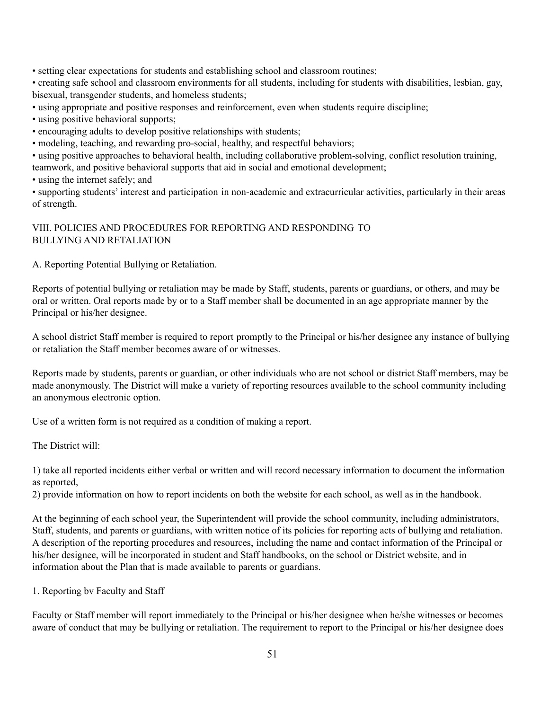• setting clear expectations for students and establishing school and classroom routines;

• creating safe school and classroom environments for all students, including for students with disabilities, lesbian, gay, bisexual, transgender students, and homeless students;

• using appropriate and positive responses and reinforcement, even when students require discipline;

• using positive behavioral supports;

• encouraging adults to develop positive relationships with students;

• modeling, teaching, and rewarding pro-social, healthy, and respectful behaviors;

• using positive approaches to behavioral health, including collaborative problem-solving, conflict resolution training, teamwork, and positive behavioral supports that aid in social and emotional development;

• using the internet safely; and

• supporting students' interest and participation in non-academic and extracurricular activities, particularly in their areas of strength.

#### VIII. POLICIES AND PROCEDURES FOR REPORTING AND RESPONDING TO BULLYING AND RETALIATION

A. Reporting Potential Bullying or Retaliation.

Reports of potential bullying or retaliation may be made by Staff, students, parents or guardians, or others, and may be oral or written. Oral reports made by or to a Staff member shall be documented in an age appropriate manner by the Principal or his/her designee.

A school district Staff member is required to report promptly to the Principal or his/her designee any instance of bullying or retaliation the Staff member becomes aware of or witnesses.

Reports made by students, parents or guardian, or other individuals who are not school or district Staff members, may be made anonymously. The District will make a variety of reporting resources available to the school community including an anonymous electronic option.

Use of a written form is not required as a condition of making a report.

The District will:

1) take all reported incidents either verbal or written and will record necessary information to document the information as reported,

2) provide information on how to report incidents on both the website for each school, as well as in the handbook.

At the beginning of each school year, the Superintendent will provide the school community, including administrators, Staff, students, and parents or guardians, with written notice of its policies for reporting acts of bullying and retaliation. A description of the reporting procedures and resources, including the name and contact information of the Principal or his/her designee, will be incorporated in student and Staff handbooks, on the school or District website, and in information about the Plan that is made available to parents or guardians.

1. Reporting bv Faculty and Staff

Faculty or Staff member will report immediately to the Principal or his/her designee when he/she witnesses or becomes aware of conduct that may be bullying or retaliation. The requirement to report to the Principal or his/her designee does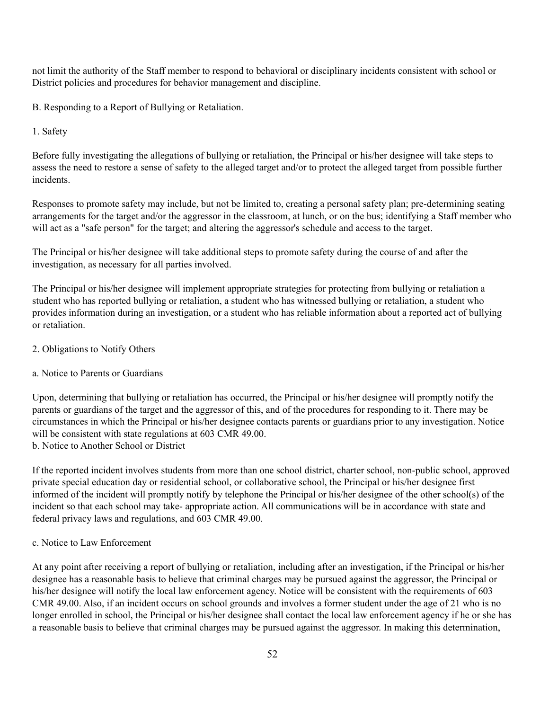not limit the authority of the Staff member to respond to behavioral or disciplinary incidents consistent with school or District policies and procedures for behavior management and discipline.

B. Responding to a Report of Bullying or Retaliation.

1. Safety

Before fully investigating the allegations of bullying or retaliation, the Principal or his/her designee will take steps to assess the need to restore a sense of safety to the alleged target and/or to protect the alleged target from possible further incidents.

Responses to promote safety may include, but not be limited to, creating a personal safety plan; pre-determining seating arrangements for the target and/or the aggressor in the classroom, at lunch, or on the bus; identifying a Staff member who will act as a "safe person" for the target; and altering the aggressor's schedule and access to the target.

The Principal or his/her designee will take additional steps to promote safety during the course of and after the investigation, as necessary for all parties involved.

The Principal or his/her designee will implement appropriate strategies for protecting from bullying or retaliation a student who has reported bullying or retaliation, a student who has witnessed bullying or retaliation, a student who provides information during an investigation, or a student who has reliable information about a reported act of bullying or retaliation.

2. Obligations to Notify Others

### a. Notice to Parents or Guardians

Upon, determining that bullying or retaliation has occurred, the Principal or his/her designee will promptly notify the parents or guardians of the target and the aggressor of this, and of the procedures for responding to it. There may be circumstances in which the Principal or his/her designee contacts parents or guardians prior to any investigation. Notice will be consistent with state regulations at 603 CMR 49.00. b. Notice to Another School or District

If the reported incident involves students from more than one school district, charter school, non-public school, approved private special education day or residential school, or collaborative school, the Principal or his/her designee first informed of the incident will promptly notify by telephone the Principal or his/her designee of the other school(s) of the incident so that each school may take- appropriate action. All communications will be in accordance with state and federal privacy laws and regulations, and 603 CMR 49.00.

#### c. Notice to Law Enforcement

At any point after receiving a report of bullying or retaliation, including after an investigation, if the Principal or his/her designee has a reasonable basis to believe that criminal charges may be pursued against the aggressor, the Principal or his/her designee will notify the local law enforcement agency. Notice will be consistent with the requirements of 603 CMR 49.00. Also, if an incident occurs on school grounds and involves a former student under the age of 21 who is no longer enrolled in school, the Principal or his/her designee shall contact the local law enforcement agency if he or she has a reasonable basis to believe that criminal charges may be pursued against the aggressor. In making this determination,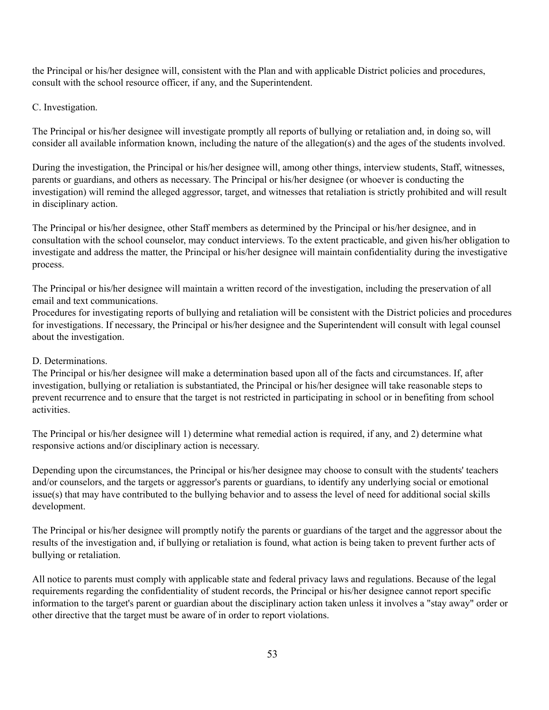the Principal or his/her designee will, consistent with the Plan and with applicable District policies and procedures, consult with the school resource officer, if any, and the Superintendent.

#### C. Investigation.

The Principal or his/her designee will investigate promptly all reports of bullying or retaliation and, in doing so, will consider all available information known, including the nature of the allegation(s) and the ages of the students involved.

During the investigation, the Principal or his/her designee will, among other things, interview students, Staff, witnesses, parents or guardians, and others as necessary. The Principal or his/her designee (or whoever is conducting the investigation) will remind the alleged aggressor, target, and witnesses that retaliation is strictly prohibited and will result in disciplinary action.

The Principal or his/her designee, other Staff members as determined by the Principal or his/her designee, and in consultation with the school counselor, may conduct interviews. To the extent practicable, and given his/her obligation to investigate and address the matter, the Principal or his/her designee will maintain confidentiality during the investigative process.

The Principal or his/her designee will maintain a written record of the investigation, including the preservation of all email and text communications.

Procedures for investigating reports of bullying and retaliation will be consistent with the District policies and procedures for investigations. If necessary, the Principal or his/her designee and the Superintendent will consult with legal counsel about the investigation.

### D. Determinations.

The Principal or his/her designee will make a determination based upon all of the facts and circumstances. If, after investigation, bullying or retaliation is substantiated, the Principal or his/her designee will take reasonable steps to prevent recurrence and to ensure that the target is not restricted in participating in school or in benefiting from school activities.

The Principal or his/her designee will 1) determine what remedial action is required, if any, and 2) determine what responsive actions and/or disciplinary action is necessary.

Depending upon the circumstances, the Principal or his/her designee may choose to consult with the students' teachers and/or counselors, and the targets or aggressor's parents or guardians, to identify any underlying social or emotional issue(s) that may have contributed to the bullying behavior and to assess the level of need for additional social skills development.

The Principal or his/her designee will promptly notify the parents or guardians of the target and the aggressor about the results of the investigation and, if bullying or retaliation is found, what action is being taken to prevent further acts of bullying or retaliation.

All notice to parents must comply with applicable state and federal privacy laws and regulations. Because of the legal requirements regarding the confidentiality of student records, the Principal or his/her designee cannot report specific information to the target's parent or guardian about the disciplinary action taken unless it involves a "stay away" order or other directive that the target must be aware of in order to report violations.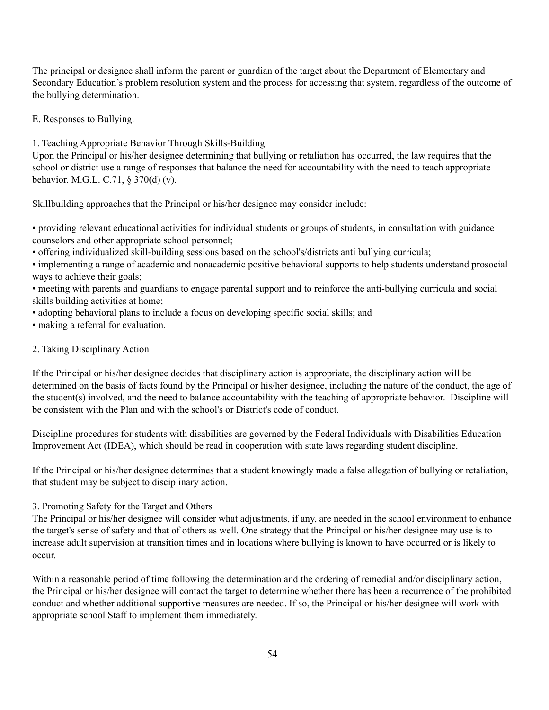The principal or designee shall inform the parent or guardian of the target about the Department of Elementary and Secondary Education's problem resolution system and the process for accessing that system, regardless of the outcome of the bullying determination.

E. Responses to Bullying.

1. Teaching Appropriate Behavior Through Skills-Building

Upon the Principal or his/her designee determining that bullying or retaliation has occurred, the law requires that the school or district use a range of responses that balance the need for accountability with the need to teach appropriate behavior. M.G.L. C.71, § 370(d) (v).

Skillbuilding approaches that the Principal or his/her designee may consider include:

• providing relevant educational activities for individual students or groups of students, in consultation with guidance counselors and other appropriate school personnel;

• offering individualized skill-building sessions based on the school's/districts anti bullying curricula;

• implementing a range of academic and nonacademic positive behavioral supports to help students understand prosocial ways to achieve their goals;

• meeting with parents and guardians to engage parental support and to reinforce the anti-bullying curricula and social skills building activities at home;

• adopting behavioral plans to include a focus on developing specific social skills; and

• making a referral for evaluation.

#### 2. Taking Disciplinary Action

If the Principal or his/her designee decides that disciplinary action is appropriate, the disciplinary action will be determined on the basis of facts found by the Principal or his/her designee, including the nature of the conduct, the age of the student(s) involved, and the need to balance accountability with the teaching of appropriate behavior. Discipline will be consistent with the Plan and with the school's or District's code of conduct.

Discipline procedures for students with disabilities are governed by the Federal Individuals with Disabilities Education Improvement Act (IDEA), which should be read in cooperation with state laws regarding student discipline.

If the Principal or his/her designee determines that a student knowingly made a false allegation of bullying or retaliation, that student may be subject to disciplinary action.

3. Promoting Safety for the Target and Others

The Principal or his/her designee will consider what adjustments, if any, are needed in the school environment to enhance the target's sense of safety and that of others as well. One strategy that the Principal or his/her designee may use is to increase adult supervision at transition times and in locations where bullying is known to have occurred or is likely to occur.

Within a reasonable period of time following the determination and the ordering of remedial and/or disciplinary action, the Principal or his/her designee will contact the target to determine whether there has been a recurrence of the prohibited conduct and whether additional supportive measures are needed. If so, the Principal or his/her designee will work with appropriate school Staff to implement them immediately.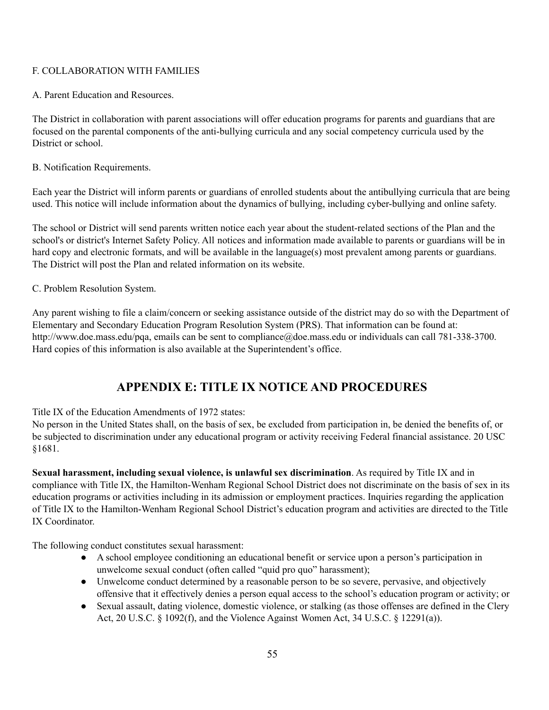#### F. COLLABORATION WITH FAMILIES

A. Parent Education and Resources.

The District in collaboration with parent associations will offer education programs for parents and guardians that are focused on the parental components of the anti-bullying curricula and any social competency curricula used by the District or school.

B. Notification Requirements.

Each year the District will inform parents or guardians of enrolled students about the antibullying curricula that are being used. This notice will include information about the dynamics of bullying, including cyber-bullying and online safety.

The school or District will send parents written notice each year about the student-related sections of the Plan and the school's or district's Internet Safety Policy. All notices and information made available to parents or guardians will be in hard copy and electronic formats, and will be available in the language(s) most prevalent among parents or guardians. The District will post the Plan and related information on its website.

C. Problem Resolution System.

Any parent wishing to file a claim/concern or seeking assistance outside of the district may do so with the Department of Elementary and Secondary Education Program Resolution System (PRS). That information can be found at: http://www.doe.mass.edu/pqa, emails can be sent to compliance@doe.mass.edu or individuals can call 781-338-3700. Hard copies of this information is also available at the Superintendent's office.

# **APPENDIX E: TITLE IX NOTICE AND PROCEDURES**

Title IX of the Education Amendments of 1972 states:

No person in the United States shall, on the basis of sex, be excluded from participation in, be denied the benefits of, or be subjected to discrimination under any educational program or activity receiving Federal financial assistance. 20 USC §1681.

**Sexual harassment, including sexual violence, is unlawful sex discrimination**. As required by Title IX and in compliance with Title IX, the Hamilton-Wenham Regional School District does not discriminate on the basis of sex in its education programs or activities including in its admission or employment practices. Inquiries regarding the application of Title IX to the Hamilton-Wenham Regional School District's education program and activities are directed to the Title IX Coordinator.

The following conduct constitutes sexual harassment:

- A school employee conditioning an educational benefit or service upon a person's participation in unwelcome sexual conduct (often called "quid pro quo" harassment);
- Unwelcome conduct determined by a reasonable person to be so severe, pervasive, and objectively offensive that it effectively denies a person equal access to the school's education program or activity; or
- Sexual assault, dating violence, domestic violence, or stalking (as those offenses are defined in the Clery Act, 20 U.S.C.  $\S$  1092(f), and the Violence Against Women Act, 34 U.S.C.  $\S$  12291(a)).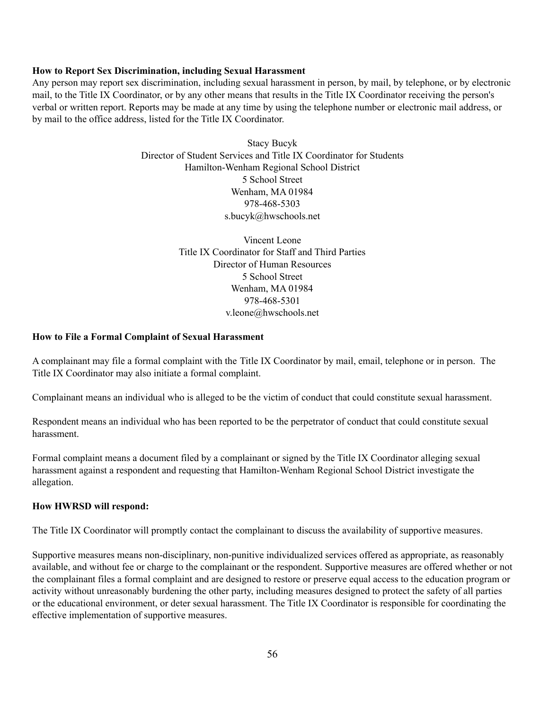#### **How to Report Sex Discrimination, including Sexual Harassment**

Any person may report sex discrimination, including sexual harassment in person, by mail, by telephone, or by electronic mail, to the Title IX Coordinator, or by any other means that results in the Title IX Coordinator receiving the person's verbal or written report. Reports may be made at any time by using the telephone number or electronic mail address, or by mail to the office address, listed for the Title IX Coordinator.

> Stacy Bucyk Director of Student Services and Title IX Coordinator for Students Hamilton-Wenham Regional School District 5 School Street Wenham, MA 01984 978-468-5303 s.bucyk@hwschools.net

> > Vincent Leone Title IX Coordinator for Staff and Third Parties Director of Human Resources 5 School Street Wenham, MA 01984 978-468-5301 v.leone@hwschools.net

#### **How to File a Formal Complaint of Sexual Harassment**

A complainant may file a formal complaint with the Title IX Coordinator by mail, email, telephone or in person. The Title IX Coordinator may also initiate a formal complaint.

Complainant means an individual who is alleged to be the victim of conduct that could constitute sexual harassment.

Respondent means an individual who has been reported to be the perpetrator of conduct that could constitute sexual harassment.

Formal complaint means a document filed by a complainant or signed by the Title IX Coordinator alleging sexual harassment against a respondent and requesting that Hamilton-Wenham Regional School District investigate the allegation.

#### **How HWRSD will respond:**

The Title IX Coordinator will promptly contact the complainant to discuss the availability of supportive measures.

Supportive measures means non-disciplinary, non-punitive individualized services offered as appropriate, as reasonably available, and without fee or charge to the complainant or the respondent. Supportive measures are offered whether or not the complainant files a formal complaint and are designed to restore or preserve equal access to the education program or activity without unreasonably burdening the other party, including measures designed to protect the safety of all parties or the educational environment, or deter sexual harassment. The Title IX Coordinator is responsible for coordinating the effective implementation of supportive measures.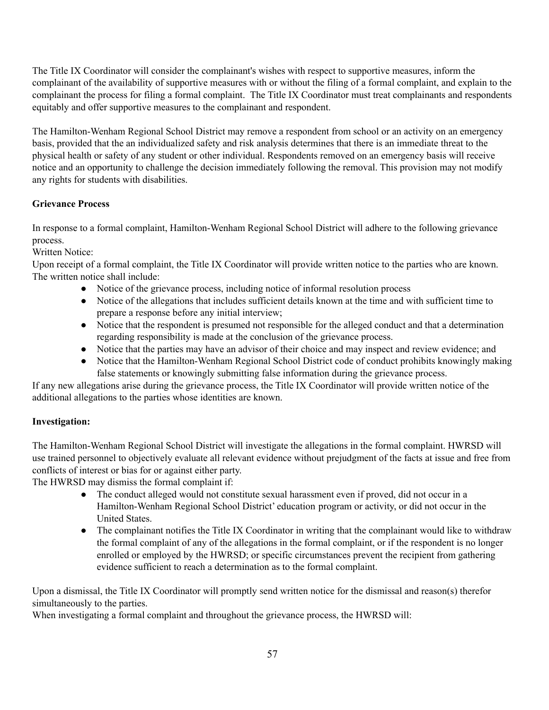The Title IX Coordinator will consider the complainant's wishes with respect to supportive measures, inform the complainant of the availability of supportive measures with or without the filing of a formal complaint, and explain to the complainant the process for filing a formal complaint. The Title IX Coordinator must treat complainants and respondents equitably and offer supportive measures to the complainant and respondent.

The Hamilton-Wenham Regional School District may remove a respondent from school or an activity on an emergency basis, provided that the an individualized safety and risk analysis determines that there is an immediate threat to the physical health or safety of any student or other individual. Respondents removed on an emergency basis will receive notice and an opportunity to challenge the decision immediately following the removal. This provision may not modify any rights for students with disabilities.

### **Grievance Process**

In response to a formal complaint, Hamilton-Wenham Regional School District will adhere to the following grievance process.

Written Notice:

Upon receipt of a formal complaint, the Title IX Coordinator will provide written notice to the parties who are known. The written notice shall include:

- Notice of the grievance process, including notice of informal resolution process
- Notice of the allegations that includes sufficient details known at the time and with sufficient time to prepare a response before any initial interview;
- Notice that the respondent is presumed not responsible for the alleged conduct and that a determination regarding responsibility is made at the conclusion of the grievance process.
- Notice that the parties may have an advisor of their choice and may inspect and review evidence; and
- Notice that the Hamilton-Wenham Regional School District code of conduct prohibits knowingly making false statements or knowingly submitting false information during the grievance process.

If any new allegations arise during the grievance process, the Title IX Coordinator will provide written notice of the additional allegations to the parties whose identities are known.

### **Investigation:**

The Hamilton-Wenham Regional School District will investigate the allegations in the formal complaint. HWRSD will use trained personnel to objectively evaluate all relevant evidence without prejudgment of the facts at issue and free from conflicts of interest or bias for or against either party.

The HWRSD may dismiss the formal complaint if:

- The conduct alleged would not constitute sexual harassment even if proved, did not occur in a Hamilton-Wenham Regional School District' education program or activity, or did not occur in the United States.
- The complainant notifies the Title IX Coordinator in writing that the complainant would like to withdraw the formal complaint of any of the allegations in the formal complaint, or if the respondent is no longer enrolled or employed by the HWRSD; or specific circumstances prevent the recipient from gathering evidence sufficient to reach a determination as to the formal complaint.

Upon a dismissal, the Title IX Coordinator will promptly send written notice for the dismissal and reason(s) therefor simultaneously to the parties.

When investigating a formal complaint and throughout the grievance process, the HWRSD will: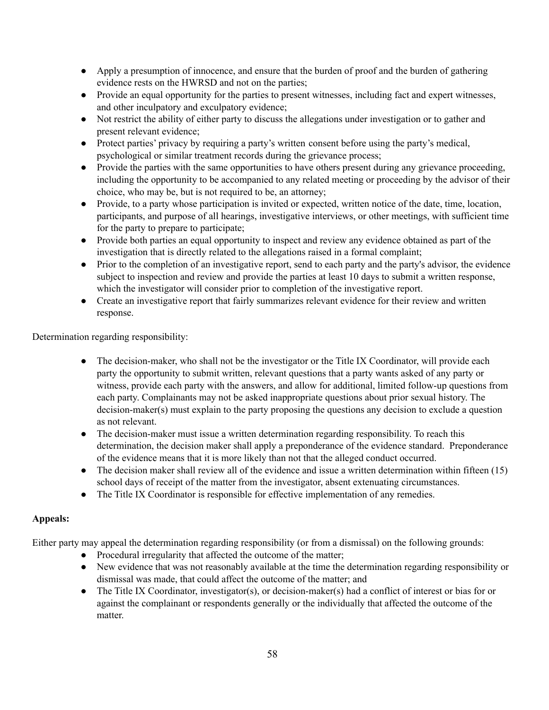- Apply a presumption of innocence, and ensure that the burden of proof and the burden of gathering evidence rests on the HWRSD and not on the parties;
- Provide an equal opportunity for the parties to present witnesses, including fact and expert witnesses, and other inculpatory and exculpatory evidence;
- Not restrict the ability of either party to discuss the allegations under investigation or to gather and present relevant evidence;
- Protect parties' privacy by requiring a party's written consent before using the party's medical, psychological or similar treatment records during the grievance process;
- Provide the parties with the same opportunities to have others present during any grievance proceeding, including the opportunity to be accompanied to any related meeting or proceeding by the advisor of their choice, who may be, but is not required to be, an attorney;
- Provide, to a party whose participation is invited or expected, written notice of the date, time, location, participants, and purpose of all hearings, investigative interviews, or other meetings, with sufficient time for the party to prepare to participate;
- Provide both parties an equal opportunity to inspect and review any evidence obtained as part of the investigation that is directly related to the allegations raised in a formal complaint;
- Prior to the completion of an investigative report, send to each party and the party's advisor, the evidence subject to inspection and review and provide the parties at least 10 days to submit a written response, which the investigator will consider prior to completion of the investigative report.
- Create an investigative report that fairly summarizes relevant evidence for their review and written response.

Determination regarding responsibility:

- The decision-maker, who shall not be the investigator or the Title IX Coordinator, will provide each party the opportunity to submit written, relevant questions that a party wants asked of any party or witness, provide each party with the answers, and allow for additional, limited follow-up questions from each party. Complainants may not be asked inappropriate questions about prior sexual history. The decision-maker(s) must explain to the party proposing the questions any decision to exclude a question as not relevant.
- The decision-maker must issue a written determination regarding responsibility. To reach this determination, the decision maker shall apply a preponderance of the evidence standard. Preponderance of the evidence means that it is more likely than not that the alleged conduct occurred.
- The decision maker shall review all of the evidence and issue a written determination within fifteen (15) school days of receipt of the matter from the investigator, absent extenuating circumstances.
- The Title IX Coordinator is responsible for effective implementation of any remedies.

### **Appeals:**

Either party may appeal the determination regarding responsibility (or from a dismissal) on the following grounds:

- Procedural irregularity that affected the outcome of the matter;
- New evidence that was not reasonably available at the time the determination regarding responsibility or dismissal was made, that could affect the outcome of the matter; and
- The Title IX Coordinator, investigator(s), or decision-maker(s) had a conflict of interest or bias for or against the complainant or respondents generally or the individually that affected the outcome of the matter.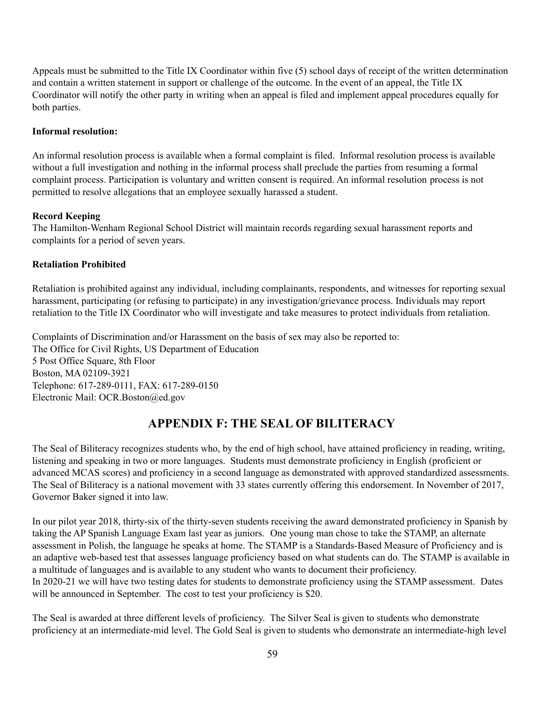Appeals must be submitted to the Title IX Coordinator within five (5) school days of receipt of the written determination and contain a written statement in support or challenge of the outcome. In the event of an appeal, the Title IX Coordinator will notify the other party in writing when an appeal is filed and implement appeal procedures equally for both parties.

#### **Informal resolution:**

An informal resolution process is available when a formal complaint is filed. Informal resolution process is available without a full investigation and nothing in the informal process shall preclude the parties from resuming a formal complaint process. Participation is voluntary and written consent is required. An informal resolution process is not permitted to resolve allegations that an employee sexually harassed a student.

#### **Record Keeping**

The Hamilton-Wenham Regional School District will maintain records regarding sexual harassment reports and complaints for a period of seven years.

#### **Retaliation Prohibited**

Retaliation is prohibited against any individual, including complainants, respondents, and witnesses for reporting sexual harassment, participating (or refusing to participate) in any investigation/grievance process. Individuals may report retaliation to the Title IX Coordinator who will investigate and take measures to protect individuals from retaliation.

Complaints of Discrimination and/or Harassment on the basis of sex may also be reported to: The Office for Civil Rights, US Department of Education 5 Post Office Square, 8th Floor Boston, MA 02109-3921 Telephone: 617-289-0111, FAX: 617-289-0150 Electronic Mail: OCR.Boston@ed.gov

# **APPENDIX F: THE SEAL OF BILITERACY**

The Seal of Biliteracy recognizes students who, by the end of high school, have attained proficiency in reading, writing, listening and speaking in two or more languages. Students must demonstrate proficiency in English (proficient or advanced MCAS scores) and proficiency in a second language as demonstrated with approved standardized assessments. The Seal of Biliteracy is a national movement with 33 states currently offering this endorsement. In November of 2017, Governor Baker signed it into law.

In our pilot year 2018, thirty-six of the thirty-seven students receiving the award demonstrated proficiency in Spanish by taking the AP Spanish Language Exam last year as juniors. One young man chose to take the STAMP, an alternate assessment in Polish, the language he speaks at home. The STAMP is a Standards-Based Measure of Proficiency and is an adaptive web-based test that assesses language proficiency based on what students can do. The STAMP is available in a multitude of languages and is available to any student who wants to document their proficiency. In 2020-21 we will have two testing dates for students to demonstrate proficiency using the STAMP assessment. Dates will be announced in September. The cost to test your proficiency is \$20.

The Seal is awarded at three different levels of proficiency. The Silver Seal is given to students who demonstrate proficiency at an intermediate-mid level. The Gold Seal is given to students who demonstrate an intermediate-high level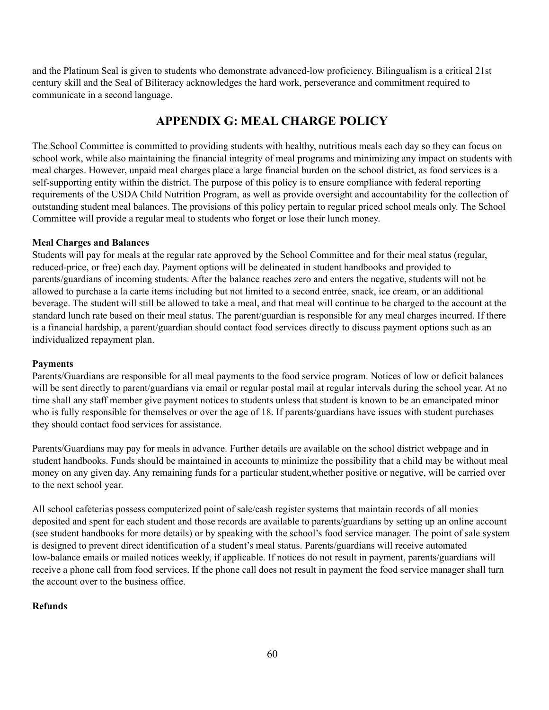and the Platinum Seal is given to students who demonstrate advanced-low proficiency. Bilingualism is a critical 21st century skill and the Seal of Biliteracy acknowledges the hard work, perseverance and commitment required to communicate in a second language.

# **APPENDIX G: MEAL CHARGE POLICY**

The School Committee is committed to providing students with healthy, nutritious meals each day so they can focus on school work, while also maintaining the financial integrity of meal programs and minimizing any impact on students with meal charges. However, unpaid meal charges place a large financial burden on the school district, as food services is a self-supporting entity within the district. The purpose of this policy is to ensure compliance with federal reporting requirements of the USDA Child Nutrition Program, as well as provide oversight and accountability for the collection of outstanding student meal balances. The provisions of this policy pertain to regular priced school meals only. The School Committee will provide a regular meal to students who forget or lose their lunch money.

#### **Meal Charges and Balances**

Students will pay for meals at the regular rate approved by the School Committee and for their meal status (regular, reduced-price, or free) each day. Payment options will be delineated in student handbooks and provided to parents/guardians of incoming students. After the balance reaches zero and enters the negative, students will not be allowed to purchase a la carte items including but not limited to a second entrée, snack, ice cream, or an additional beverage. The student will still be allowed to take a meal, and that meal will continue to be charged to the account at the standard lunch rate based on their meal status. The parent/guardian is responsible for any meal charges incurred. If there is a financial hardship, a parent/guardian should contact food services directly to discuss payment options such as an individualized repayment plan.

#### **Payments**

Parents/Guardians are responsible for all meal payments to the food service program. Notices of low or deficit balances will be sent directly to parent/guardians via email or regular postal mail at regular intervals during the school year. At no time shall any staff member give payment notices to students unless that student is known to be an emancipated minor who is fully responsible for themselves or over the age of 18. If parents/guardians have issues with student purchases they should contact food services for assistance.

Parents/Guardians may pay for meals in advance. Further details are available on the school district webpage and in student handbooks. Funds should be maintained in accounts to minimize the possibility that a child may be without meal money on any given day. Any remaining funds for a particular student,whether positive or negative, will be carried over to the next school year.

All school cafeterias possess computerized point of sale/cash register systems that maintain records of all monies deposited and spent for each student and those records are available to parents/guardians by setting up an online account (see student handbooks for more details) or by speaking with the school's food service manager. The point of sale system is designed to prevent direct identification of a student's meal status. Parents/guardians will receive automated low-balance emails or mailed notices weekly, if applicable. If notices do not result in payment, parents/guardians will receive a phone call from food services. If the phone call does not result in payment the food service manager shall turn the account over to the business office.

### **Refunds**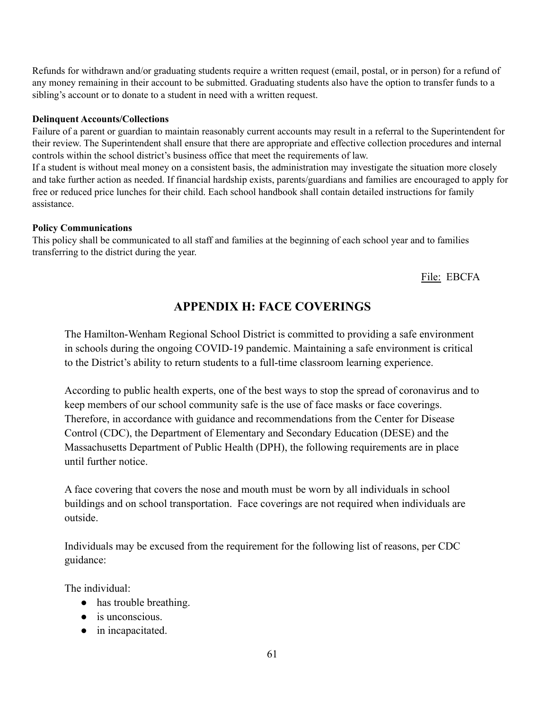Refunds for withdrawn and/or graduating students require a written request (email, postal, or in person) for a refund of any money remaining in their account to be submitted. Graduating students also have the option to transfer funds to a sibling's account or to donate to a student in need with a written request.

#### **Delinquent Accounts/Collections**

Failure of a parent or guardian to maintain reasonably current accounts may result in a referral to the Superintendent for their review. The Superintendent shall ensure that there are appropriate and effective collection procedures and internal controls within the school district's business office that meet the requirements of law.

If a student is without meal money on a consistent basis, the administration may investigate the situation more closely and take further action as needed. If financial hardship exists, parents/guardians and families are encouraged to apply for free or reduced price lunches for their child. Each school handbook shall contain detailed instructions for family assistance.

#### **Policy Communications**

This policy shall be communicated to all staff and families at the beginning of each school year and to families transferring to the district during the year.

File: EBCFA

# **APPENDIX H: FACE COVERINGS**

The Hamilton-Wenham Regional School District is committed to providing a safe environment in schools during the ongoing COVID-19 pandemic. Maintaining a safe environment is critical to the District's ability to return students to a full-time classroom learning experience.

According to public health experts, one of the best ways to stop the spread of coronavirus and to keep members of our school community safe is the use of face masks or face coverings. Therefore, in accordance with guidance and recommendations from the Center for Disease Control (CDC), the Department of Elementary and Secondary Education (DESE) and the Massachusetts Department of Public Health (DPH), the following requirements are in place until further notice.

A face covering that covers the nose and mouth must be worn by all individuals in school buildings and on school transportation. Face coverings are not required when individuals are outside.

Individuals may be excused from the requirement for the following list of reasons, per CDC guidance:

The individual:

- has trouble breathing.
- is unconscious.
- in incapacitated.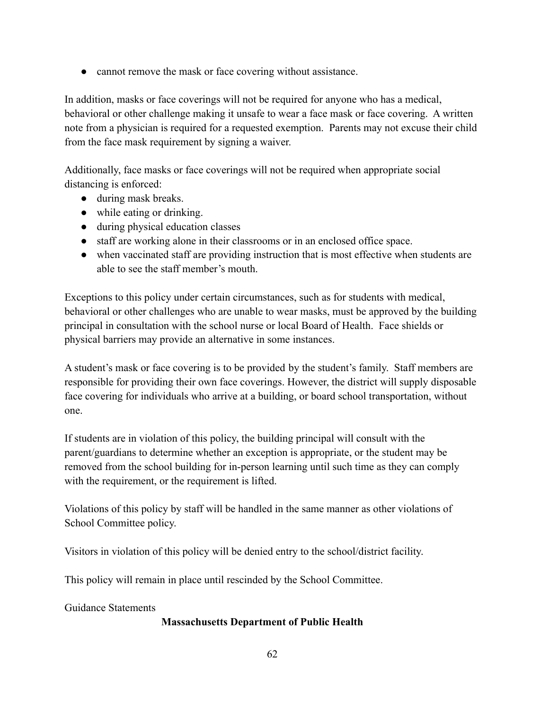• cannot remove the mask or face covering without assistance.

In addition, masks or face coverings will not be required for anyone who has a medical, behavioral or other challenge making it unsafe to wear a face mask or face covering. A written note from a physician is required for a requested exemption. Parents may not excuse their child from the face mask requirement by signing a waiver.

Additionally, face masks or face coverings will not be required when appropriate social distancing is enforced:

- during mask breaks.
- while eating or drinking.
- during physical education classes
- staff are working alone in their classrooms or in an enclosed office space.
- when vaccinated staff are providing instruction that is most effective when students are able to see the staff member's mouth.

Exceptions to this policy under certain circumstances, such as for students with medical, behavioral or other challenges who are unable to wear masks, must be approved by the building principal in consultation with the school nurse or local Board of Health. Face shields or physical barriers may provide an alternative in some instances.

A student's mask or face covering is to be provided by the student's family. Staff members are responsible for providing their own face coverings. However, the district will supply disposable face covering for individuals who arrive at a building, or board school transportation, without one.

If students are in violation of this policy, the building principal will consult with the parent/guardians to determine whether an exception is appropriate, or the student may be removed from the school building for in-person learning until such time as they can comply with the requirement, or the requirement is lifted.

Violations of this policy by staff will be handled in the same manner as other violations of School Committee policy.

Visitors in violation of this policy will be denied entry to the school/district facility.

This policy will remain in place until rescinded by the School Committee.

Guidance Statements

### **Massachusetts Department of Public Health**